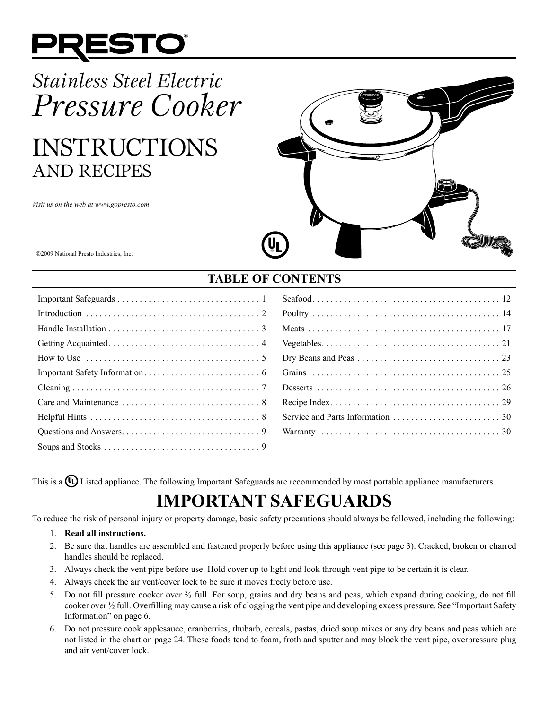

# *Stainless Steel Electric Pressure Cooker*

# INSTRUCTIONS AND RECIPES

*Visit us on the web at www.gopresto.com*



2009 National Presto Industries, Inc.

# **TABLE OF CONTENTS**

| How to Use $\dots \dots \dots \dots \dots \dots \dots \dots \dots \dots \dots \dots \dots$ |
|--------------------------------------------------------------------------------------------|
|                                                                                            |
|                                                                                            |
|                                                                                            |
|                                                                                            |
|                                                                                            |
|                                                                                            |

This is a  $\mathbb{Q}$  Listed appliance. The following Important Safeguards are recommended by most portable appliance manufacturers.

# **IMPORTANT SAFEGUARDS**

To reduce the risk of personal injury or property damage, basic safety precautions should always be followed, including the following:

#### 1. **Read all instructions.**

- 2. Be sure that handles are assembled and fastened properly before using this appliance (see page 3). Cracked, broken or charred handles should be replaced.
- 3. Always check the vent pipe before use. Hold cover up to light and look through vent pipe to be certain it is clear.
- 4. Always check the air vent/cover lock to be sure it moves freely before use.
- 5. Do not fill pressure cooker over <sup>3</sup>/<sub>3</sub> full. For soup, grains and dry beans and peas, which expand during cooking, do not fill cooker over ½ full. Overfilling may cause a risk of clogging the vent pipe and developing excess pressure. See "Important Safety Information" on page 6.
- 6. Do not pressure cook applesauce, cranberries, rhubarb, cereals, pastas, dried soup mixes or any dry beans and peas which are not listed in the chart on page 24. These foods tend to foam, froth and sputter and may block the vent pipe, overpressure plug and air vent/cover lock.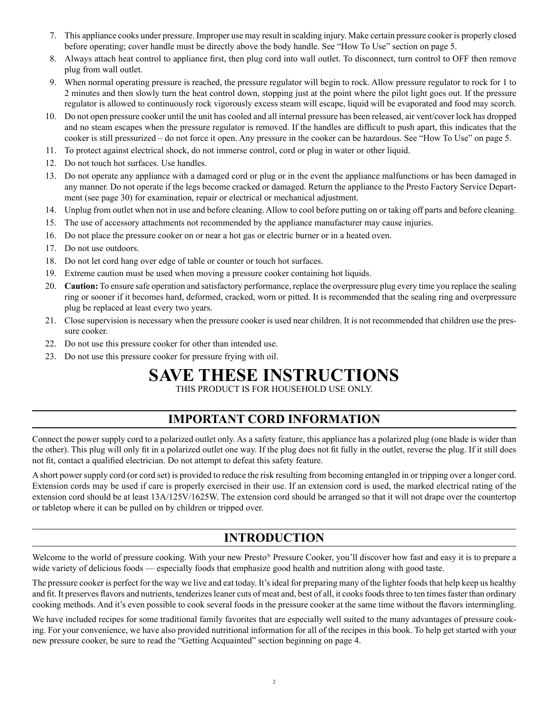- 7. This appliance cooks under pressure. Improper use may result in scalding injury. Make certain pressure cooker is properly closed before operating; cover handle must be directly above the body handle. See "How To Use" section on page 5.
- 8. Always attach heat control to appliance first, then plug cord into wall outlet. To disconnect, turn control to OFF then remove plug from wall outlet.
- 9. When normal operating pressure is reached, the pressure regulator will begin to rock. Allow pressure regulator to rock for 1 to 2 minutes and then slowly turn the heat control down, stopping just at the point where the pilot light goes out. If the pressure regulator is allowed to continuously rock vigorously excess steam will escape, liquid will be evaporated and food may scorch.
- 10. Do not open pressure cooker until the unit has cooled and all internal pressure has been released, air vent/cover lock has dropped and no steam escapes when the pressure regulator is removed. If the handles are difficult to push apart, this indicates that the cooker is still pressurized – do not force it open. Any pressure in the cooker can be hazardous. See "How To Use" on page 5.
- 11. To protect against electrical shock, do not immerse control, cord or plug in water or other liquid.
- 12. Do not touch hot surfaces. Use handles.
- 13. Do not operate any appliance with a damaged cord or plug or in the event the appliance malfunctions or has been damaged in any manner. Do not operate if the legs become cracked or damaged. Return the appliance to the Presto Factory Service Department (see page 30) for examination, repair or electrical or mechanical adjustment.
- 14. Unplug from outlet when not in use and before cleaning. Allow to cool before putting on or taking off parts and before cleaning.
- 15. The use of accessory attachments not recommended by the appliance manufacturer may cause injuries.
- 16. Do not place the pressure cooker on or near a hot gas or electric burner or in a heated oven.
- 17. Do not use outdoors.
- 18. Do not let cord hang over edge of table or counter or touch hot surfaces.
- 19. Extreme caution must be used when moving a pressure cooker containing hot liquids.
- 20. **Caution:** To ensure safe operation and satisfactory performance, replace the overpressure plug every time you replace the sealing ring or sooner if it becomes hard, deformed, cracked, worn or pitted. It is recommended that the sealing ring and overpressure plug be replaced at least every two years.
- 21. Close supervision is necessary when the pressure cooker is used near children. It is not recommended that children use the pressure cooker.
- 22. Do not use this pressure cooker for other than intended use.
- 23. Do not use this pressure cooker for pressure frying with oil.

# **SAVE THESE INSTRUCTIONS**

THIS PRODUCT IS FOR HOUSEHOLD USE ONLY.

# **IMPORTANT CORD INFORMATION**

Connect the power supply cord to a polarized outlet only. As a safety feature, this appliance has a polarized plug (one blade is wider than the other). This plug will only fit in a polarized outlet one way. If the plug does not fit fully in the outlet, reverse the plug. If it still does not fit, contact a qualified electrician. Do not attempt to defeat this safety feature.

A short power supply cord (or cord set) is provided to reduce the risk resulting from becoming entangled in or tripping over a longer cord. Extension cords may be used if care is properly exercised in their use. If an extension cord is used, the marked electrical rating of the extension cord should be at least 13A/125V/1625W. The extension cord should be arranged so that it will not drape over the countertop or tabletop where it can be pulled on by children or tripped over.

# **INTRODUCTION**

Welcome to the world of pressure cooking. With your new Presto® Pressure Cooker, you'll discover how fast and easy it is to prepare a wide variety of delicious foods — especially foods that emphasize good health and nutrition along with good taste.

The pressure cooker is perfect for the way we live and eat today. It's ideal for preparing many of the lighter foods that help keep us healthy and fit. It preserves flavors and nutrients, tenderizes leaner cuts of meat and, best of all, it cooks foods three to ten times faster than ordinary cooking methods. And it's even possible to cook several foods in the pressure cooker at the same time without the flavors intermingling.

We have included recipes for some traditional family favorites that are especially well suited to the many advantages of pressure cooking. For your convenience, we have also provided nutritional information for all of the recipes in this book. To help get started with your new pressure cooker, be sure to read the "Getting Acquainted" section beginning on page 4.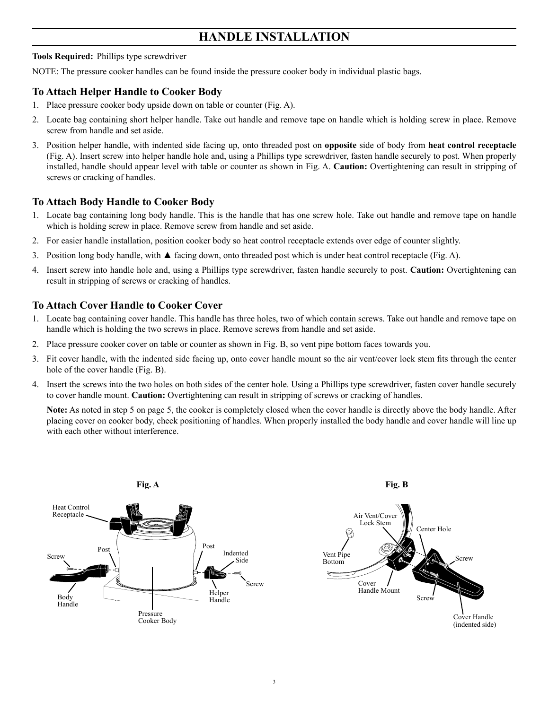# **HANDLE INSTALLATION**

# **Tools Required:** Phillips type screwdriver

NOTE: The pressure cooker handles can be found inside the pressure cooker body in individual plastic bags.

# **To Attach Helper Handle to Cooker Body**

- 1. Place pressure cooker body upside down on table or counter (Fig. A).
- 2. Locate bag containing short helper handle. Take out handle and remove tape on handle which is holding screw in place. Remove screw from handle and set aside.
- 3. Position helper handle, with indented side facing up, onto threaded post on **opposite** side of body from **heat control receptacle** (Fig. A). Insert screw into helper handle hole and, using a Phillips type screwdriver, fasten handle securely to post. When properly installed, handle should appear level with table or counter as shown in Fig. A. **Caution:** Overtightening can result in stripping of screws or cracking of handles.

# **To Attach Body Handle to Cooker Body**

- 1. Locate bag containing long body handle. This is the handle that has one screw hole. Take out handle and remove tape on handle which is holding screw in place. Remove screw from handle and set aside.
- 2. For easier handle installation, position cooker body so heat control receptacle extends over edge of counter slightly.
- 3. Position long body handle, with  $\blacktriangle$  facing down, onto threaded post which is under heat control receptacle (Fig. A).
- 4. Insert screw into handle hole and, using a Phillips type screwdriver, fasten handle securely to post. **Caution:** Overtightening can result in stripping of screws or cracking of handles.

# **To Attach Cover Handle to Cooker Cover**

- 1. Locate bag containing cover handle. This handle has three holes, two of which contain screws. Take out handle and remove tape on handle which is holding the two screws in place. Remove screws from handle and set aside.
- 2. Place pressure cooker cover on table or counter as shown in Fig. B, so vent pipe bottom faces towards you.
- 3. Fit cover handle, with the indented side facing up, onto cover handle mount so the air vent/cover lock stem fits through the center hole of the cover handle (Fig. B).
- 4. Insert the screws into the two holes on both sides of the center hole. Using a Phillips type screwdriver, fasten cover handle securely to cover handle mount. **Caution:** Overtightening can result in stripping of screws or cracking of handles.

**Note:** As noted in step 5 on page 5, the cooker is completely closed when the cover handle is directly above the body handle. After placing cover on cooker body, check positioning of handles. When properly installed the body handle and cover handle will line up with each other without interference.

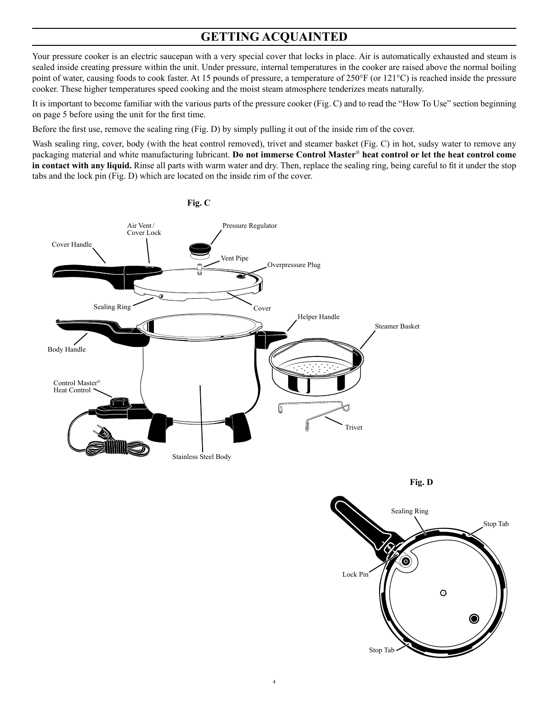# **GETTING ACQUAINTED**

Your pressure cooker is an electric saucepan with a very special cover that locks in place. Air is automatically exhausted and steam is sealed inside creating pressure within the unit. Under pressure, internal temperatures in the cooker are raised above the normal boiling point of water, causing foods to cook faster. At 15 pounds of pressure, a temperature of 250°F (or 121°C) is reached inside the pressure cooker. These higher temperatures speed cooking and the moist steam atmosphere tenderizes meats naturally.

It is important to become familiar with the various parts of the pressure cooker (Fig. C) and to read the "How To Use" section beginning on page 5 before using the unit for the first time.

Before the first use, remove the sealing ring (Fig. D) by simply pulling it out of the inside rim of the cover.

Wash sealing ring, cover, body (with the heat control removed), trivet and steamer basket (Fig. C) in hot, sudsy water to remove any packaging material and white manufacturing lubricant. Do not immerse Control Master® heat control or let the heat control come **in contact with any liquid.** Rinse all parts with warm water and dry. Then, replace the sealing ring, being careful to fit it under the stop tabs and the lock pin (Fig. D) which are located on the inside rim of the cover.





**Fig. D**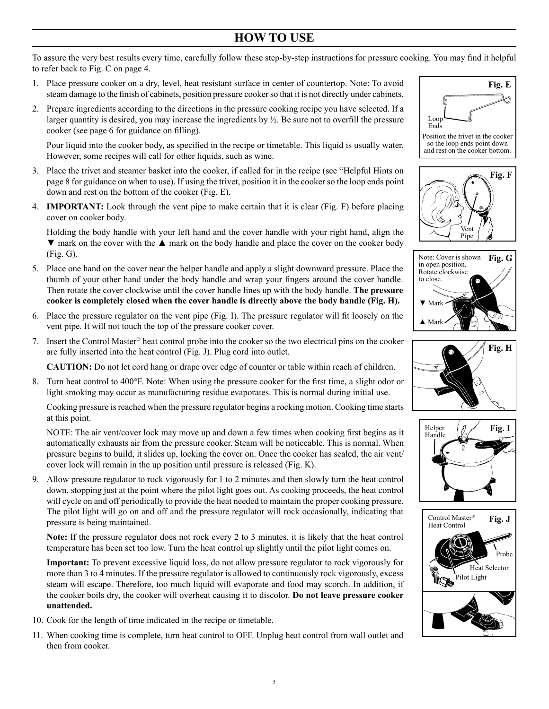# **HOW TO USE**

To assure the very best results every time, carefully follow these step-by-step instructions for pressure cooking. You may find it helpful to refer back to Fig. C on page 4.

- 1. Place pressure cooker on a dry, level, heat resistant surface in center of countertop. Note: To avoid steam damage to the finish of cabinets, position pressure cookerso that it is not directly under cabinets.
- 2. Prepare ingredients according to the directions in the pressure cooking recipe you have selected. If a larger quantity is desired, you may increase the ingredients by  $\frac{1}{2}$ . Be sure not to overfill the pressure cooker (see page 6 for guidance on filling).

 Pour liquid into the cooker body, as specified in the recipe or timetable. This liquid is usually water. However, some recipes will call for other liquids, such as wine.

- 3. Place the trivet and steamer basket into the cooker, if called for in the recipe (see "Helpful Hints on page 8 for guidance on when to use). If using the trivet, position it in the cooker so the loop ends point down and rest on the bottom of the cooker (Fig. E).
- 4. **IMPORTANT:** Look through the vent pipe to make certain that it is clear (Fig. F) before placing cover on cooker body.

Holding the body handle with your left hand and the cover handle with your right hand, align the  $\nabla$  mark on the cover with the  $\blacktriangle$  mark on the body handle and place the cover on the cooker body (Fig. G).

- 5. Place one hand on the cover near the helper handle and apply a slight downward pressure. Place the thumb of your other hand under the body handle and wrap your fingers around the cover handle. Then rotate the cover clockwise until the cover handle lines up with the body handle. **The pressure cooker is completely closed when the cover handle is directly above the body handle (Fig. H).**
- 6. Place the pressure regulator on the vent pipe (Fig. I). The pressure regulator will fit loosely on the vent pipe. It will not touch the top of the pressure cooker cover.
- 7. Insert the Control Master<sup>®</sup> heat control probe into the cooker so the two electrical pins on the cooker are fully inserted into the heat control (Fig. J). Plug cord into outlet.

**CAUTION:** Do not let cord hang or drape over edge of counter or table within reach of children.

8. Turn heat control to 400°F. Note: When using the pressure cooker for the first time, a slight odor or light smoking may occur as manufacturing residue evaporates. This is normal during initial use.

Cooking pressure is reached when the pressure regulator begins a rocking motion. Cooking time starts at this point.

 NOTE: The air vent/cover lock may move up and down a few times when cooking first begins as it automatically exhausts air from the pressure cooker. Steam will be noticeable. This is normal. When pressure begins to build, it slides up, locking the cover on. Once the cooker has sealed, the air vent/ cover lock will remain in the up position until pressure is released (Fig. K).

9. Allow pressure regulator to rock vigorously for 1 to 2 minutes and then slowly turn the heat control down, stopping just at the point where the pilot light goes out. As cooking proceeds, the heat control will cycle on and off periodically to provide the heat needed to maintain the proper cooking pressure. The pilot light will go on and off and the pressure regulator will rock occasionally, indicating that pressure is being maintained.

**Note:** If the pressure regulator does not rock every 2 to 3 minutes, it is likely that the heat control temperature has been set too low. Turn the heat control up slightly until the pilot light comes on.

**Important:** To prevent excessive liquid loss, do not allow pressure regulator to rock vigorously for more than 3 to 4 minutes. If the pressure regulator is allowed to continuously rock vigorously, excess steam will escape. Therefore, too much liquid will evaporate and food may scorch. In addition, if the cooker boils dry, the cooker will overheat causing it to discolor. **Do not leave pressure cooker unattended.** 

- 10. Cook for the length of time indicated in the recipe or timetable.
- 11. When cooking time is complete, turn heat control to OFF. Unplug heat control from wall outlet and then from cooker.



so the loop ends point down and rest on the cooker bottom.









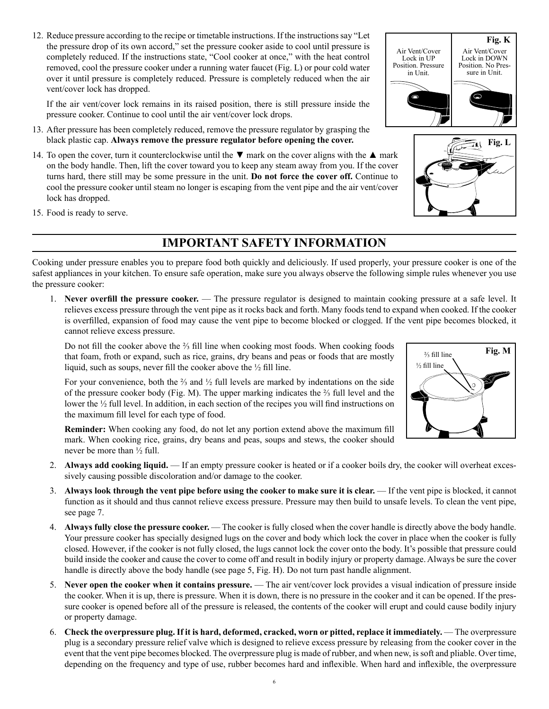12. Reduce pressure according to the recipe or timetable instructions. If the instructions say "Let the pressure drop of its own accord," set the pressure cooker aside to cool until pressure is completely reduced. If the instructions state, "Cool cooker at once," with the heat control removed, cool the pressure cooker under a running water faucet (Fig. L) or pour cold water over it until pressure is completely reduced. Pressure is completely reduced when the air vent/cover lock has dropped.

If the air vent/cover lock remains in its raised position, there is still pressure inside the pressure cooker. Continue to cool until the air vent/cover lock drops.

- 13. After pressure has been completely reduced, remove the pressure regulator by grasping the black plastic cap. **Always remove the pressure regulator before opening the cover.**
- 14. To open the cover, turn it counterclockwise until the  $\nabla$  mark on the cover aligns with the  $\blacktriangle$  mark on the body handle. Then, lift the cover toward you to keep any steam away from you. If the cover turns hard, there still may be some pressure in the unit. **Do not force the cover off.** Continue to cool the pressure cooker until steam no longer is escaping from the vent pipe and the air vent/cover lock has dropped.
- 15. Food is ready to serve.

# **IMPORTANT SAFETY INFORMATION**

Cooking under pressure enables you to prepare food both quickly and deliciously. If used properly, your pressure cooker is one of the safest appliances in your kitchen. To ensure safe operation, make sure you always observe the following simple rules whenever you use the pressure cooker:

1. **Never overfill the pressure cooker.** — The pressure regulator is designed to maintain cooking pressure at a safe level. It relieves excess pressure through the vent pipe as it rocks back and forth. Many foods tend to expand when cooked. If the cooker is overfilled, expansion of food may cause the vent pipe to become blocked or clogged. If the vent pipe becomes blocked, it cannot relieve excess pressure.

Do not fill the cooker above the <sup>2</sup><sup>5</sup> fill line when cooking most foods. When cooking foods that foam, froth or expand, such as rice, grains, dry beans and peas or foods that are mostly liquid, such as soups, never fill the cooker above the ½ fill line.

 For your convenience, both the ⅔ and ½ full levels are marked by indentations on the side of the pressure cooker body (Fig. M). The upper marking indicates the ⅔ full level and the lower the ½ full level. In addition, in each section of the recipes you will find instructions on the maximum fill level for each type of food.

 **Reminder:** When cooking any food, do not let any portion extend above the maximum fill mark. When cooking rice, grains, dry beans and peas, soups and stews, the cooker should never be more than ½ full.

- 2. **Always add cooking liquid.** If an empty pressure cooker is heated or if a cooker boils dry, the cooker will overheat excessively causing possible discoloration and/or damage to the cooker.
- 3. **Always look through the vent pipe before using the cooker to make sure it is clear.** If the vent pipe is blocked, it cannot function as it should and thus cannot relieve excess pressure. Pressure may then build to unsafe levels. To clean the vent pipe, see page 7.
- 4. **Always fully close the pressure cooker.** The cooker is fully closed when the cover handle is directly above the body handle. Your pressure cooker has specially designed lugs on the cover and body which lock the cover in place when the cooker is fully closed. However, if the cooker is not fully closed, the lugs cannot lock the cover onto the body. It's possible that pressure could build inside the cooker and cause the cover to come off and result in bodily injury or property damage. Always be sure the cover handle is directly above the body handle (see page 5, Fig. H). Do not turn past handle alignment.
- 5. **Never open the cooker when it contains pressure.** The air vent/cover lock provides a visual indication of pressure inside the cooker. When it is up, there is pressure. When it is down, there is no pressure in the cooker and it can be opened. If the pressure cooker is opened before all of the pressure is released, the contents of the cooker will erupt and could cause bodily injury or property damage.
- 6. **Check the overpressure plug. If it is hard, deformed, cracked, worn or pitted, replace it immediately.** The overpressure plug is a secondary pressure relief valve which is designed to relieve excess pressure by releasing from the cooker cover in the event that the vent pipe becomes blocked. The overpressure plug is made of rubber, and when new, is soft and pliable. Over time, depending on the frequency and type of use, rubber becomes hard and inflexible. When hard and inflexible, the overpressure





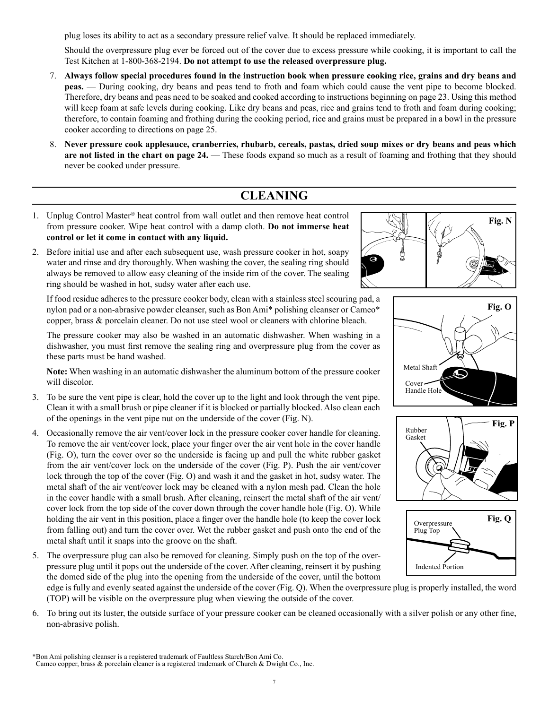plug loses its ability to act as a secondary pressure relief valve. It should be replaced immediately.

 Should the overpressure plug ever be forced out of the cover due to excess pressure while cooking, it is important to call the Test Kitchen at 1-800-368-2194. **Do not attempt to use the released overpressure plug.**

- 7. **Always follow special procedures found in the instruction book when pressure cooking rice, grains and dry beans and peas.** — During cooking, dry beans and peas tend to froth and foam which could cause the vent pipe to become blocked. Therefore, dry beans and peas need to be soaked and cooked according to instructions beginning on page 23. Using this method will keep foam at safe levels during cooking. Like dry beans and peas, rice and grains tend to froth and foam during cooking; therefore, to contain foaming and frothing during the cooking period, rice and grains must be prepared in a bowl in the pressure cooker according to directions on page 25.
- 8. **Never pressure cook applesauce, cranberries, rhubarb, cereals, pastas, dried soup mixes or dry beans and peas which are not listed in the chart on page 24.** — These foods expand so much as a result of foaming and frothing that they should never be cooked under pressure.

# **CLEANING**

- 1. Unplug Control Master® heat control from wall outlet and then remove heat control from pressure cooker. Wipe heat control with a damp cloth. **Do not immerse heat control or let it come in contact with any liquid.**
- 2. Before initial use and after each subsequent use, wash pressure cooker in hot, soapy water and rinse and dry thoroughly. When washing the cover, the sealing ring should always be removed to allow easy cleaning of the inside rim of the cover. The sealing ring should be washed in hot, sudsy water after each use.

If food residue adheres to the pressure cooker body, clean with a stainless steel scouring pad, a nylon pad or a non-abrasive powder cleanser, such as Bon Ami\* polishing cleanser or Cameo\* copper, brass & porcelain cleaner. Do not use steel wool or cleaners with chlorine bleach.

The pressure cooker may also be washed in an automatic dishwasher. When washing in a dishwasher, you must first remove the sealing ring and overpressure plug from the cover as these parts must be hand washed.

**Note:** When washing in an automatic dishwasher the aluminum bottom of the pressure cooker will discolor.

- 3. To be sure the vent pipe is clear, hold the cover up to the light and look through the vent pipe. Clean it with a small brush or pipe cleaner if it is blocked or partially blocked. Also clean each of the openings in the vent pipe nut on the underside of the cover (Fig. N).
- 4. Occasionally remove the air vent/cover lock in the pressure cooker cover handle for cleaning. To remove the air vent/cover lock, place your finger over the air vent hole in the cover handle (Fig. O), turn the cover over so the underside is facing up and pull the white rubber gasket from the air vent/cover lock on the underside of the cover (Fig. P). Push the air vent/cover lock through the top of the cover (Fig. O) and wash it and the gasket in hot, sudsy water. The metal shaft of the air vent/cover lock may be cleaned with a nylon mesh pad. Clean the hole in the cover handle with a small brush. After cleaning, reinsert the metal shaft of the air vent/ cover lock from the top side of the cover down through the cover handle hole (Fig. O). While holding the air vent in this position, place a finger over the handle hole (to keep the cover lock from falling out) and turn the cover over. Wet the rubber gasket and push onto the end of the metal shaft until it snaps into the groove on the shaft.
- 5. The overpressure plug can also be removed for cleaning. Simply push on the top of the overpressure plug until it pops out the underside of the cover. After cleaning, reinsert it by pushing the domed side of the plug into the opening from the underside of the cover, until the bottom









edge is fully and evenly seated against the underside of the cover (Fig. Q). When the overpressure plug is properly installed, the word (TOP) will be visible on the overpressure plug when viewing the outside of the cover.

6. To bring out its luster, the outside surface of your pressure cooker can be cleaned occasionally with a silver polish or any other fine, non-abrasive polish.

Cameo copper, brass & porcelain cleaner is a registered trademark of Church & Dwight Co., Inc.

<sup>\*</sup>Bon Ami polishing cleanser is a registered trademark of Faultless Starch/Bon Ami Co.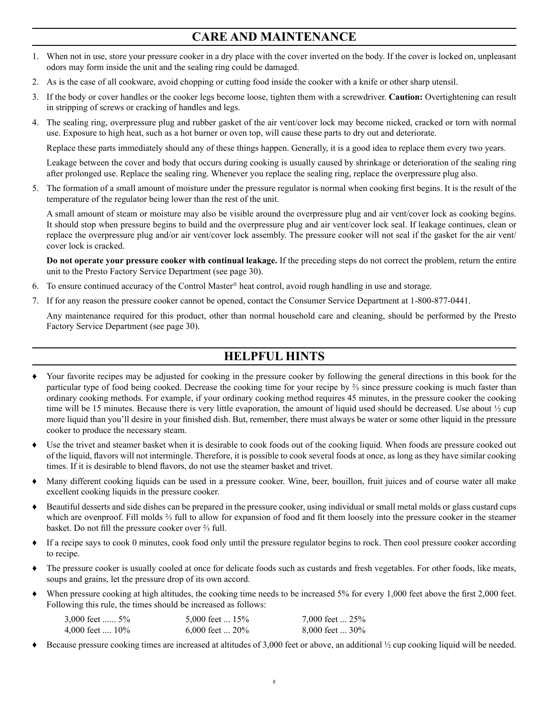# **CARE AND MAINTENANCE**

- 1. When not in use, store your pressure cooker in a dry place with the cover inverted on the body. If the cover is locked on, unpleasant odors may form inside the unit and the sealing ring could be damaged.
- 2. As is the case of all cookware, avoid chopping or cutting food inside the cooker with a knife or other sharp utensil.
- 3. If the body or cover handles or the cooker legs become loose, tighten them with a screwdriver. **Caution:** Overtightening can result in stripping of screws or cracking of handles and legs.
- 4. The sealing ring, overpressure plug and rubber gasket of the air vent/cover lock may become nicked, cracked or torn with normal use. Exposure to high heat, such as a hot burner or oven top, will cause these parts to dry out and deteriorate.

Replace these parts immediately should any of these things happen. Generally, it is a good idea to replace them every two years.

Leakage between the cover and body that occurs during cooking is usually caused by shrinkage or deterioration of the sealing ring after prolonged use. Replace the sealing ring. Whenever you replace the sealing ring, replace the overpressure plug also.

5. The formation of a small amount of moisture under the pressure regulator is normal when cooking first begins. It is the result of the temperature of the regulator being lower than the rest of the unit.

A small amount of steam or moisture may also be visible around the overpressure plug and air vent/cover lock as cooking begins. It should stop when pressure begins to build and the overpressure plug and air vent/cover lock seal. If leakage continues, clean or replace the overpressure plug and/or air vent/cover lock assembly. The pressure cooker will not seal if the gasket for the air vent/ cover lock is cracked.

**Do not operate your pressure cooker with continual leakage.** If the preceding steps do not correct the problem, return the entire unit to the Presto Factory Service Department (see page 30).

- 6. To ensure continued accuracy of the Control Master® heat control, avoid rough handling in use and storage.
- 7. If for any reason the pressure cooker cannot be opened, contact the Consumer Service Department at 1-800-877-0441.

Any maintenance required for this product, other than normal household care and cleaning, should be performed by the Presto Factory Service Department (see page 30).

# **HELPFUL HINTS**

- Your favorite recipes may be adjusted for cooking in the pressure cooker by following the general directions in this book for the particular type of food being cooked. Decrease the cooking time for your recipe by ⅔ since pressure cooking is much faster than ordinary cooking methods. For example, if your ordinary cooking method requires 45 minutes, in the pressure cooker the cooking time will be 15 minutes. Because there is very little evaporation, the amount of liquid used should be decreased. Use about  $\frac{1}{2}$  cup more liquid than you'll desire in your finished dish. But, remember, there must always be water or some other liquid in the pressure cooker to produce the necessary steam.
- Use the trivet and steamer basket when it is desirable to cook foods out of the cooking liquid. When foods are pressure cooked out of the liquid, flavors will not intermingle. Therefore, it is possible to cook several foods at once, as long as they have similar cooking times. If it is desirable to blend flavors, do not use the steamer basket and trivet.
- Many different cooking liquids can be used in a pressure cooker. Wine, beer, bouillon, fruit juices and of course water all make excellent cooking liquids in the pressure cooker.
- ♦ Beautiful desserts and side dishes can be prepared in the pressure cooker, using individual or small metal molds or glass custard cups which are ovenproof. Fill molds ⅔ full to allow for expansion of food and fit them loosely into the pressure cooker in the steamer basket. Do not fill the pressure cooker over ⅔ full.
- ♦ If a recipe says to cook 0 minutes, cook food only until the pressure regulator begins to rock. Then cool pressure cooker according to recipe.
- The pressure cooker is usually cooled at once for delicate foods such as custards and fresh vegetables. For other foods, like meats, soups and grains, let the pressure drop of its own accord.
- When pressure cooking at high altitudes, the cooking time needs to be increased 5% for every 1,000 feet above the first 2,000 feet. Following this rule, the times should be increased as follows:

| 3,000 feet $5\%$       | 5,000 feet $\dots$ 15% | 7,000 feet  25%   |
|------------------------|------------------------|-------------------|
| 4,000 feet $\dots$ 10% | 6,000 feet $\dots$ 20% | $8,000$ feet  30% |

Because pressure cooking times are increased at altitudes of 3,000 feet or above, an additional  $\frac{1}{2}$  cup cooking liquid will be needed.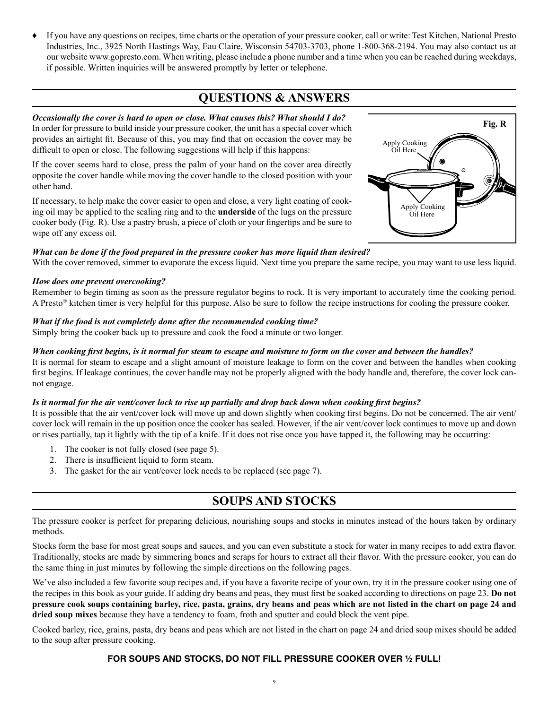♦ If you have any questions on recipes, time charts or the operation of your pressure cooker, call or write: Test Kitchen, National Presto Industries, Inc., 3925 North Hastings Way, Eau Claire, Wisconsin 54703-3703, phone 1-800-368-2194. You may also contact us at our website www.gopresto.com. When writing, please include a phone number and a time when you can be reached during weekdays, if possible. Written inquiries will be answered promptly by letter or telephone.

# **QUESTIONS & ANSWERS**

# *Occasionally the cover is hard to open or close. What causes this? What should I do?*

In order for pressure to build inside your pressure cooker, the unit has a special cover which provides an airtight fit. Because of this, you may find that on occasion the cover may be difficult to open or close. The following suggestions will help if this happens:

If the cover seems hard to close, press the palm of your hand on the cover area directly opposite the cover handle while moving the cover handle to the closed position with your other hand.

If necessary, to help make the cover easier to open and close, a very light coating of cooking oil may be applied to the sealing ring and to the **underside** of the lugs on the pressure cooker body (Fig. R). Use a pastry brush, a piece of cloth or your fingertips and be sure to wipe off any excess oil.

# *What can be done if the food prepared in the pressure cooker has more liquid than desired?*

With the cover removed, simmer to evaporate the excess liquid. Next time you prepare the same recipe, you may want to use less liquid.

#### *How does one prevent overcooking?*

Remember to begin timing as soon as the pressure regulator begins to rock. It is very important to accurately time the cooking period. A Presto® kitchen timer is very helpful for this purpose. Also be sure to follow the recipe instructions for cooling the pressure cooker.

# *What if the food is not completely done after the recommended cooking time?*

Simply bring the cooker back up to pressure and cook the food a minute or two longer.

# *When cooking first begins, is it normal for steam to escape and moisture to form on the cover and between the handles?*

It is normal for steam to escape and a slight amount of moisture leakage to form on the cover and between the handles when cooking first begins. If leakage continues, the cover handle may not be properly aligned with the body handle and, therefore, the cover lock cannot engage.

#### *Is it normal for the air vent/cover lock to rise up partially and drop back down when cooking first begins?*

It is possible that the air vent/cover lock will move up and down slightly when cooking first begins. Do not be concerned. The air vent/ cover lock will remain in the up position once the cooker has sealed. However, if the air vent/cover lock continues to move up and down or rises partially, tap it lightly with the tip of a knife. If it does not rise once you have tapped it, the following may be occurring:

- 1. The cooker is not fully closed (see page 5).
- 2. There is insufficient liquid to form steam.
- 3. The gasket for the air vent/cover lock needs to be replaced (see page 7).

# **SOUPS AND STOCKS**

The pressure cooker is perfect for preparing delicious, nourishing soups and stocks in minutes instead of the hours taken by ordinary methods.

Stocks form the base for most great soups and sauces, and you can even substitute a stock for water in many recipes to add extra flavor. Traditionally, stocks are made by simmering bones and scraps for hours to extract all their flavor. With the pressure cooker, you can do the same thing in just minutes by following the simple directions on the following pages.

We've also included a few favorite soup recipes and, if you have a favorite recipe of your own, try it in the pressure cooker using one of the recipes in this book as your guide. If adding dry beans and peas, they must first be soaked according to directions on page 23. **Do not pressure cook soups containing barley, rice, pasta, grains, dry beans and peas which are not listed in the chart on page 24 and dried soup mixes** because they have a tendency to foam, froth and sputter and could block the vent pipe.

Cooked barley, rice, grains, pasta, dry beans and peas which are not listed in the chart on page 24 and dried soup mixes should be added to the soup after pressure cooking.

# **FOR SOUPS AND STOCKS, DO NOT FILL PRESSURE COOKER OVER ½ FULL!**

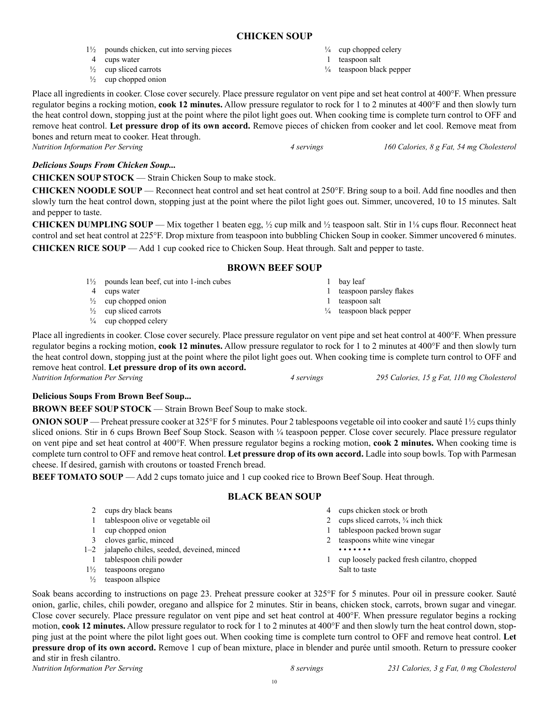# **CHICKEN SOUP**

- 1½ pounds chicken, cut into serving pieces
- 4 cups water
- $\frac{1}{2}$  cup sliced carrots
- $\frac{1}{2}$  cup chopped onion

 $\frac{1}{4}$  cup chopped celery

- 1 teaspoon salt
- ¼ teaspoon black pepper

Place all ingredients in cooker. Close cover securely. Place pressure regulator on vent pipe and set heat control at 400°F. When pressure regulator begins a rocking motion, **cook 12 minutes.** Allow pressure regulator to rock for 1 to 2 minutes at 400°F and then slowly turn the heat control down, stopping just at the point where the pilot light goes out. When cooking time is complete turn control to OFF and remove heat control. **Let pressure drop of its own accord.** Remove pieces of chicken from cooker and let cool. Remove meat from bones and return meat to cooker. Heat through.

*Nutrition Information Per Serving 4 servings 160 Calories, 8 g Fat, 54 mg Cholesterol*

# *Delicious Soups From Chicken Soup...*

**CHICKEN SOUP STOCK** — Strain Chicken Soup to make stock.

**CHICKEN NOODLE SOUP** — Reconnect heat control and set heat control at 250°F. Bring soup to a boil. Add fine noodles and then slowly turn the heat control down, stopping just at the point where the pilot light goes out. Simmer, uncovered, 10 to 15 minutes. Salt and pepper to taste.

**CHICKEN DUMPLING SOUP** — Mix together 1 beaten egg,  $\frac{1}{2}$  cup milk and  $\frac{1}{2}$  teaspoon salt. Stir in  $1\frac{1}{8}$  cups flour. Reconnect heat control and set heat control at 225°F. Drop mixture from teaspoon into bubbling Chicken Soup in cooker. Simmer uncovered 6 minutes. **CHICKEN RICE SOUP** — Add 1 cup cooked rice to Chicken Soup. Heat through. Salt and pepper to taste.

# **BROWN BEEF SOUP**

1½ pounds lean beef, cut into 1-inch cubes 4 cups water  $\frac{1}{2}$  cup chopped onion  $\frac{1}{2}$  cup sliced carrots  $\frac{1}{4}$  cup chopped celery 1 bay leaf 1 teaspoon parsley flakes 1 teaspoon salt ¼ teaspoon black pepper

Place all ingredients in cooker. Close cover securely. Place pressure regulator on vent pipe and set heat control at 400°F. When pressure regulator begins a rocking motion, **cook 12 minutes.** Allow pressure regulator to rock for 1 to 2 minutes at 400°F and then slowly turn the heat control down, stopping just at the point where the pilot light goes out. When cooking time is complete turn control to OFF and remove heat control. **Let pressure drop of its own accord.**

# **Delicious Soups From Brown Beef Soup...**

**BROWN BEEF SOUP STOCK — Strain Brown Beef Soup to make stock.** 

**ONION SOUP** — Preheat pressure cooker at 325°F for 5 minutes. Pour 2 tablespoons vegetable oil into cooker and sauté 1½ cups thinly sliced onions. Stir in 6 cups Brown Beef Soup Stock. Season with ¼ teaspoon pepper. Close cover securely. Place pressure regulator on vent pipe and set heat control at 400°F. When pressure regulator begins a rocking motion, **cook 2 minutes.** When cooking time is complete turn control to OFF and remove heat control. **Let pressure drop of its own accord.** Ladle into soup bowls. Top with Parmesan cheese. If desired, garnish with croutons or toasted French bread.

**BEEF TOMATO SOUP** — Add 2 cups tomato juice and 1 cup cooked rice to Brown Beef Soup. Heat through.

# **BLACK BEAN SOUP**

2 cups dry black beans 1 tablespoon olive or vegetable oil 1 cup chopped onion 3 cloves garlic, minced 1–2 jalapeño chiles, seeded, deveined, minced 1 tablespoon chili powder 1½ teaspoons oregano  $\frac{1}{2}$  teaspoon allspice 4 cups chicken stock or broth 2 cups sliced carrots,  $\frac{3}{4}$  inch thick 1 tablespoon packed brown sugar 2 teaspoons white wine vinegar • • • • • • • 1 cup loosely packed fresh cilantro, chopped Salt to taste

Soak beans according to instructions on page 23. Preheat pressure cooker at 325°F for 5 minutes. Pour oil in pressure cooker. Sauté onion, garlic, chiles, chili powder, oregano and allspice for 2 minutes. Stir in beans, chicken stock, carrots, brown sugar and vinegar. Close cover securely. Place pressure regulator on vent pipe and set heat control at 400°F. When pressure regulator begins a rocking motion, **cook 12 minutes.** Allow pressure regulator to rock for 1 to 2 minutes at 400°F and then slowly turn the heat control down, stopping just at the point where the pilot light goes out. When cooking time is complete turn control to OFF and remove heat control. **Let pressure drop of its own accord.** Remove 1 cup of bean mixture, place in blender and purée until smooth. Return to pressure cooker and stir in fresh cilantro.

*Nutrition Information Per Serving 4 servings 295 Calories, 15 g Fat, 110 mg Cholesterol*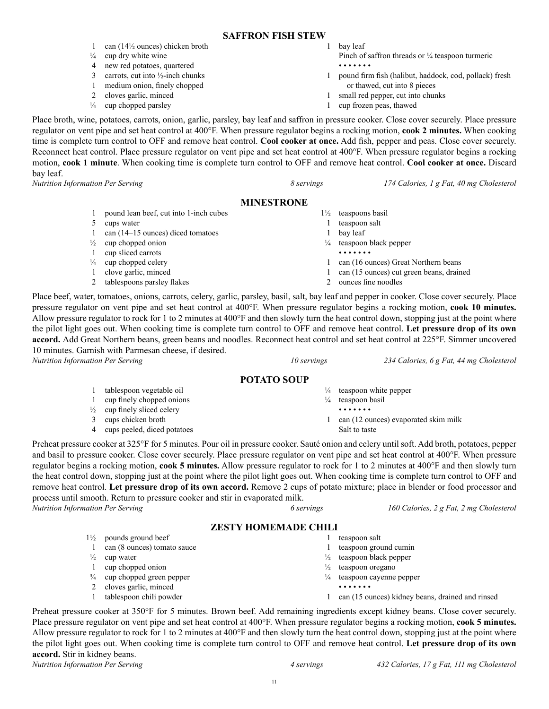#### **SAFFRON FISH STEW**

- 1 can (14½ ounces) chicken broth
- $\frac{1}{4}$  cup dry white wine
- 4 new red potatoes, quartered
- 3 carrots, cut into  $\frac{1}{2}$ -inch chunks
- 1 medium onion, finely chopped
- 2 cloves garlic, minced
- $\frac{1}{4}$  cup chopped parsley

1 bay leaf

- Pinch of saffron threads or  $\frac{1}{4}$  teaspoon turmeric • • • • • • •
- 1 pound firm fish (halibut, haddock, cod, pollack) fresh or thawed, cut into 8 pieces
- 1 small red pepper, cut into chunks
- 1 cup frozen peas, thawed

Place broth, wine, potatoes, carrots, onion, garlic, parsley, bay leaf and saffron in pressure cooker. Close cover securely. Place pressure regulator on vent pipe and set heat control at 400°F. When pressure regulator begins a rocking motion, **cook 2 minutes.** When cooking time is complete turn control to OFF and remove heat control. **Cool cooker at once.** Add fish, pepper and peas. Close cover securely. Reconnect heat control. Place pressure regulator on vent pipe and set heat control at 400°F. When pressure regulator begins a rocking motion, **cook 1 minute**. When cooking time is complete turn control to OFF and remove heat control. **Cool cooker at once.** Discard bay leaf.

*Nutrition Information Per Serving 8 servings 174 Calories, 1 g Fat, 40 mg Cholesterol*

# **MINESTRONE**

|               | pound lean beef, cut into 1-inch cubes | $1\frac{1}{2}$ | teaspoons basil                          |
|---------------|----------------------------------------|----------------|------------------------------------------|
|               | cups water                             |                | teaspoon salt                            |
|               | can $(14-15$ ounces) diced tomatoes    |                | bay leaf                                 |
| $\frac{1}{2}$ | cup chopped onion                      | $\frac{1}{4}$  | teaspoon black pepper                    |
|               | cup sliced carrots                     |                | .                                        |
| $\frac{1}{4}$ | cup chopped celery                     |                | can (16 ounces) Great Northern beans     |
|               | clove garlic, minced                   |                | can (15 ounces) cut green beans, drained |
|               | tablespoons parsley flakes             |                | ounces fine noodles                      |

Place beef, water, tomatoes, onions, carrots, celery, garlic, parsley, basil, salt, bay leaf and pepper in cooker. Close cover securely. Place pressure regulator on vent pipe and set heat control at 400°F. When pressure regulator begins a rocking motion, **cook 10 minutes.** Allow pressure regulator to rock for 1 to 2 minutes at 400°F and then slowly turn the heat control down, stopping just at the point where the pilot light goes out. When cooking time is complete turn control to OFF and remove heat control. **Let pressure drop of its own accord.** Add Great Northern beans, green beans and noodles. Reconnect heat control and set heat control at 225°F. Simmer uncovered 10 minutes. Garnish with Parmesan cheese, if desired.

*Nutrition Information Per Serving 10 servings 234 Calories, 6 g Fat, 44 mg Cholesterol*

# **POTATO SOUP**

- 1 tablespoon vegetable oil 1 cup finely chopped onions
- 
- $\frac{1}{2}$  cup finely sliced celery 3 cups chicken broth
- 4 cups peeled, diced potatoes

Preheat pressure cooker at 325°F for 5 minutes. Pour oil in pressure cooker. Sauté onion and celery until soft. Add broth, potatoes, pepper and basil to pressure cooker. Close cover securely. Place pressure regulator on vent pipe and set heat control at 400°F. When pressure regulator begins a rocking motion, **cook 5 minutes.** Allow pressure regulator to rock for 1 to 2 minutes at 400°F and then slowly turn the heat control down, stopping just at the point where the pilot light goes out. When cooking time is complete turn control to OFF and remove heat control. **Let pressure drop of its own accord.** Remove 2 cups of potato mixture; place in blender or food processor and process until smooth. Return to pressure cooker and stir in evaporated milk.

| 6 servings |
|------------|

*Nutrition Information Per Serving 6 servings 160 Calories, 2 g Fat, 2 mg Cholesterol*

# **ZESTY HOMEMADE CHILI**

- 1½ pounds ground beef 1 can (8 ounces) tomato sauce
- $\frac{1}{2}$  cup water
- 1 cup chopped onion
- ¾ cup chopped green pepper
- 2 cloves garlic, minced
- 1 tablespoon chili powder

- 1 teaspoon salt
- 1 teaspoon ground cumin

 $\frac{1}{4}$  teaspoon white pepper  $\frac{1}{4}$  teaspoon basil • • • • • • •

Salt to taste

1 can (12 ounces) evaporated skim milk

- $\frac{1}{2}$  teaspoon black pepper
- ½ teaspoon oregano
- ¼ teaspoon cayenne pepper • • • • • • •
- 1 can (15 ounces) kidney beans, drained and rinsed

Preheat pressure cooker at 350°F for 5 minutes. Brown beef. Add remaining ingredients except kidney beans. Close cover securely. Place pressure regulator on vent pipe and set heat control at 400°F. When pressure regulator begins a rocking motion, **cook 5 minutes.**  Allow pressure regulator to rock for 1 to 2 minutes at 400°F and then slowly turn the heat control down, stopping just at the point where the pilot light goes out. When cooking time is complete turn control to OFF and remove heat control. **Let pressure drop of its own accord.** Stir in kidney beans.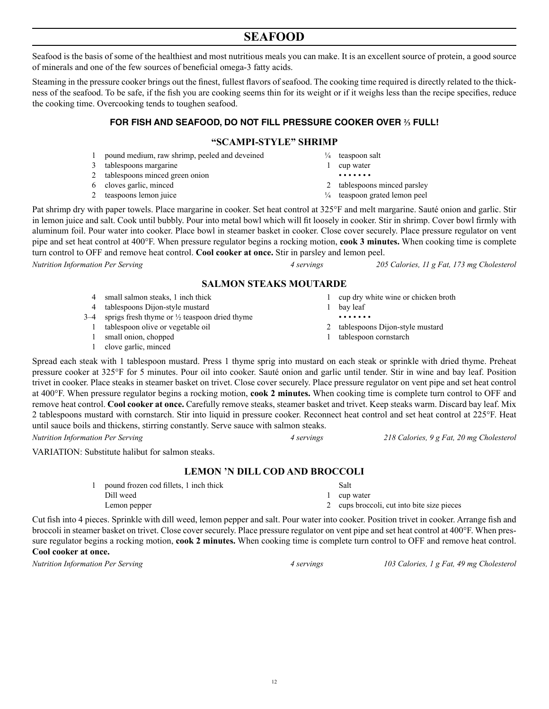12

# **SEAFOOD**

Seafood is the basis of some of the healthiest and most nutritious meals you can make. It is an excellent source of protein, a good source of minerals and one of the few sources of beneficial omega-3 fatty acids.

Steaming in the pressure cooker brings out the finest, fullest flavors of seafood. The cooking time required is directly related to the thickness of the seafood. To be safe, if the fish you are cooking seems thin for its weight or if it weighs less than the recipe specifies, reduce the cooking time. Overcooking tends to toughen seafood.

# **FOR FISH AND SEAFOOD, DO NOT FILL PRESSURE COOKER OVER ⅔ FULL!**

# **"SCAMPI-STYLE" SHRIMP**

- 1 pound medium, raw shrimp, peeled and deveined
- 3 tablespoons margarine
- 2 tablespoons minced green onion
- 6 cloves garlic, minced
- 2 teaspoons lemon juice

Pat shrimp dry with paper towels. Place margarine in cooker. Set heat control at 325°F and melt margarine. Sauté onion and garlic. Stir in lemon juice and salt. Cook until bubbly. Pour into metal bowl which will fit loosely in cooker. Stir in shrimp. Cover bowl firmly with aluminum foil. Pour water into cooker. Place bowl in steamer basket in cooker. Close cover securely. Place pressure regulator on vent pipe and set heat control at 400°F. When pressure regulator begins a rocking motion, **cook 3 minutes.** When cooking time is complete turn control to OFF and remove heat control. **Cool cooker at once.** Stir in parsley and lemon peel.

*Nutrition Information Per Serving 4 servings 205 Calories, 11 g Fat, 173 mg Cholesterol*

# **SALMON STEAKS MOUTARDE**

- 4 small salmon steaks, 1 inch thick
- 4 tablespoons Dijon-style mustard
- 3–4 sprigs fresh thyme or  $\frac{1}{2}$  teaspoon dried thyme
	- 1 tablespoon olive or vegetable oil
	- 1 small onion, chopped
	- 1 clove garlic, minced
- Spread each steak with 1 tablespoon mustard. Press 1 thyme sprig into mustard on each steak or sprinkle with dried thyme. Preheat pressure cooker at 325°F for 5 minutes. Pour oil into cooker. Sauté onion and garlic until tender. Stir in wine and bay leaf. Position trivet in cooker. Place steaks in steamer basket on trivet. Close cover securely. Place pressure regulator on vent pipe and set heat control at 400°F. When pressure regulator begins a rocking motion, **cook 2 minutes.** When cooking time is complete turn control to OFF and remove heat control. **Cool cooker at once.** Carefully remove steaks, steamer basket and trivet. Keep steaks warm. Discard bay leaf. Mix 2 tablespoons mustard with cornstarch. Stir into liquid in pressure cooker. Reconnect heat control and set heat control at 225°F. Heat until sauce boils and thickens, stirring constantly. Serve sauce with salmon steaks.

*Nutrition Information Per Serving 4 servings 218 Calories, 9 g Fat, 20 mg Cholesterol*

VARIATION: Substitute halibut for salmon steaks.

# **LEMON 'N DILL COD AND BROCCOLI**

| pound frozen cod fillets, 1 inch thick | Salt                                       |
|----------------------------------------|--------------------------------------------|
| Dill weed                              | cup water                                  |
| Lemon pepper                           | 2 cups broccoli, cut into bite size pieces |

Cut fish into 4 pieces. Sprinkle with dill weed, lemon pepper and salt. Pour water into cooker. Position trivet in cooker. Arrange fish and broccoli in steamer basket on trivet. Close cover securely. Place pressure regulator on vent pipe and set heat control at 400°F. When pressure regulator begins a rocking motion, **cook 2 minutes.** When cooking time is complete turn control to OFF and remove heat control. **Cool cooker at once.**

 $\frac{1}{4}$  teaspoon salt

- 1 cup water
- • • • •
- 2 tablespoons minced parsley ¼ teaspoon grated lemon peel
- - 1 cup dry white wine or chicken broth
	- 1 bay leaf
		- • • • •
	- 2 tablespoons Dijon-style mustard
	- 1 tablespoon cornstarch

*Nutrition Information Per Serving 4 servings 103 Calories, 1 g Fat, 49 mg Cholesterol*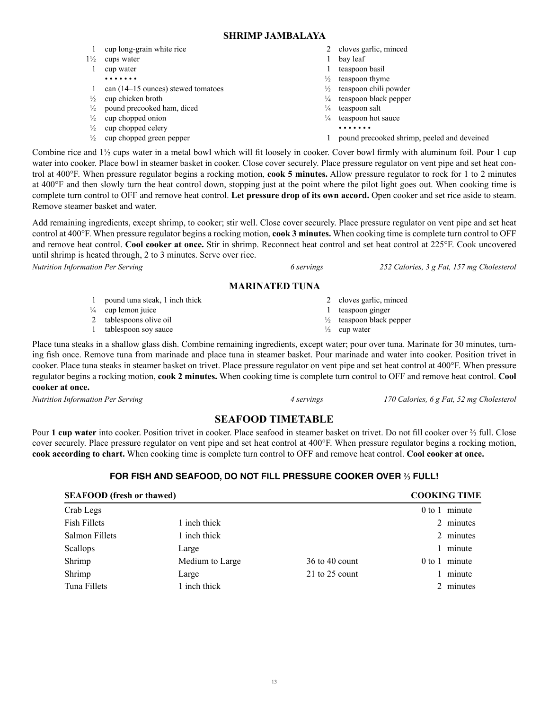13

**SHRIMP JAMBALAYA**

|  |  | cup long-grain white rice |  |  |
|--|--|---------------------------|--|--|
|--|--|---------------------------|--|--|

- $1\frac{1}{2}$  cups water 1 cup water
	- • • • •
- 1 can (14–15 ounces) stewed tomatoes
- $\frac{1}{2}$  cup chicken broth
- $\frac{1}{2}$  pound precooked ham, diced
- $\frac{1}{2}$  cup chopped onion
- $\frac{1}{2}$  cup chopped celery
- ½ cup chopped green pepper
- 2 cloves garlic, minced
- 1 bay leaf
- 1 teaspoon basil
- $\frac{1}{2}$  teaspoon thyme
- ½ teaspoon chili powder
- ¼ teaspoon black pepper
- $\frac{1}{4}$  teaspoon salt
- $\frac{1}{4}$  teaspoon hot sauce
	- • • • •
- 1 pound precooked shrimp, peeled and deveined

Combine rice and 1½ cups water in a metal bowl which will fit loosely in cooker. Cover bowl firmly with aluminum foil. Pour 1 cup water into cooker. Place bowl in steamer basket in cooker. Close cover securely. Place pressure regulator on vent pipe and set heat control at 400°F. When pressure regulator begins a rocking motion, **cook 5 minutes.** Allow pressure regulator to rock for 1 to 2 minutes at 400°F and then slowly turn the heat control down, stopping just at the point where the pilot light goes out. When cooking time is complete turn control to OFF and remove heat control. **Let pressure drop of its own accord.** Open cooker and set rice aside to steam. Remove steamer basket and water.

Add remaining ingredients, except shrimp, to cooker; stir well. Close cover securely. Place pressure regulator on vent pipe and set heat control at 400°F. When pressure regulator begins a rocking motion, **cook 3 minutes.** When cooking time is complete turn control to OFF and remove heat control. **Cool cooker at once.** Stir in shrimp. Reconnect heat control and set heat control at 225°F. Cook uncovered until shrimp is heated through, 2 to 3 minutes. Serve over rice.

# **MAR**

1 pound tuna steak, 1 inch thick  $\frac{1}{4}$  cup lemon juice 2 tablespoons olive oil 1 tablespoon soy sauce cloves garlic, minced 1 teaspoon ginger ½ teaspoon black pepper  $\frac{1}{2}$  cup water

Place tuna steaks in a shallow glass dish. Combine remaining ingredients, except water; pour over tuna. Marinate for 30 minutes, turning fish once. Remove tuna from marinade and place tuna in steamer basket. Pour marinade and water into cooker. Position trivet in cooker. Place tuna steaks in steamer basket on trivet. Place pressure regulator on vent pipe and set heat control at 400°F. When pressure regulator begins a rocking motion, **cook 2 minutes.** When cooking time is complete turn control to OFF and remove heat control. **Cool cooker at once.**

# **SEAFOOD TIMETABLE**

Pour **1 cup water** into cooker. Position trivet in cooker. Place seafood in steamer basket on trivet. Do not fill cooker over ⅔ full. Close cover securely. Place pressure regulator on vent pipe and set heat control at 400°F. When pressure regulator begins a rocking motion, **cook according to chart.** When cooking time is complete turn control to OFF and remove heat control. **Cool cooker at once.** 

# **FOR FISH AND SEAFOOD, DO NOT FILL PRESSURE COOKER OVER ⅔ FULL!**

| <b>SEAFOOD</b> (fresh or thawed) |                 |                  | <b>COOKING TIME</b> |
|----------------------------------|-----------------|------------------|---------------------|
| Crab Legs                        |                 |                  | $0$ to 1 minute     |
| Fish Fillets                     | 1 inch thick    |                  | 2 minutes           |
| Salmon Fillets                   | 1 inch thick    |                  | 2 minutes           |
| Scallops                         | Large           |                  | minute              |
| Shrimp                           | Medium to Large | $36$ to 40 count | $0$ to 1 minute     |
| Shrimp                           | Large           | 21 to $25$ count | minute              |
| Tuna Fillets                     | 1 inch thick    |                  | 2 minutes           |

| <i>Nutrition Information Per Serving</i> | 6 servings             | 252 Calories, 3 g Fat, 157 mg Cholesterol |  |  |
|------------------------------------------|------------------------|-------------------------------------------|--|--|
| <b>MARINATED TUNA</b>                    |                        |                                           |  |  |
| nound tuna steak 1 inch thick            | 2 cloves garlic minced |                                           |  |  |

*Nutrition Information Per Serving 4 servings 170 Calories, 6 g Fat, 52 mg Cholesterol*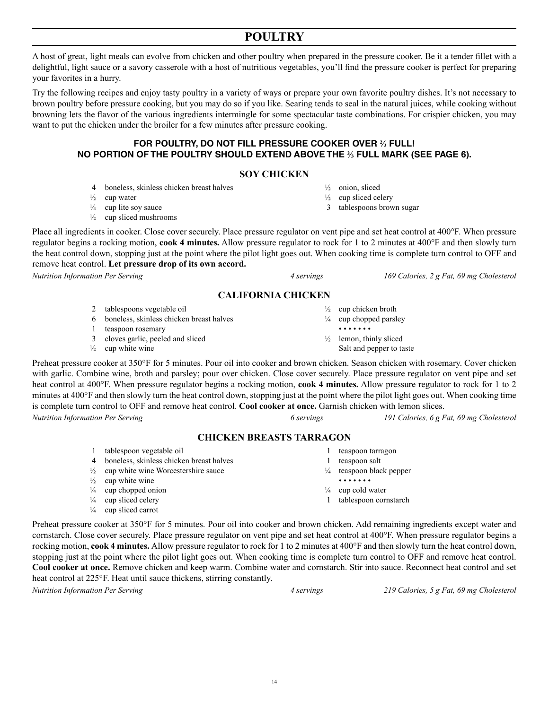# **POULTRY**

A host of great, light meals can evolve from chicken and other poultry when prepared in the pressure cooker. Be it a tender fillet with a delightful, light sauce or a savory casserole with a host of nutritious vegetables, you'll find the pressure cooker is perfect for preparing your favorites in a hurry.

Try the following recipes and enjoy tasty poultry in a variety of ways or prepare your own favorite poultry dishes. It's not necessary to brown poultry before pressure cooking, but you may do so if you like. Searing tends to seal in the natural juices, while cooking without browning lets the flavor of the various ingredients intermingle for some spectacular taste combinations. For crispier chicken, you may want to put the chicken under the broiler for a few minutes after pressure cooking.

# **FOR POULTRY, DO NOT FILL PRESSURE COOKER OVER ⅔ FULL! NO PORTION OF THE POULTRY SHOULD EXTEND ABOVE THE ⅔ FULL MARK (SEE PAGE 6).**

# **SOY CHICKEN**

- 4 boneless, skinless chicken breast halves
- $\frac{1}{2}$  cup water
- $\frac{1}{4}$  cup lite soy sauce
- $\frac{1}{2}$  cup sliced mushrooms

Place all ingredients in cooker. Close cover securely. Place pressure regulator on vent pipe and set heat control at 400°F. When pressure regulator begins a rocking motion, **cook 4 minutes.** Allow pressure regulator to rock for 1 to 2 minutes at 400°F and then slowly turn the heat control down, stopping just at the point where the pilot light goes out. When cooking time is complete turn control to OFF and remove heat control. **Let pressure drop of its own accord.**

# **CALIFORNIA CHICKEN**

- 2 tablespoons vegetable oil
- 6 boneless, skinless chicken breast halves
- 1 teaspoon rosemary
- 3 cloves garlic, peeled and sliced
- $\frac{1}{2}$  cup white wine

 $\frac{1}{4}$  cup sliced celery  $\frac{1}{4}$  cup sliced carrot

Preheat pressure cooker at 350°F for 5 minutes. Pour oil into cooker and brown chicken. Season chicken with rosemary. Cover chicken with garlic. Combine wine, broth and parsley; pour over chicken. Close cover securely. Place pressure regulator on vent pipe and set heat control at 400°F. When pressure regulator begins a rocking motion, **cook 4 minutes.** Allow pressure regulator to rock for 1 to 2 minutes at 400°F and then slowly turn the heat control down, stopping just at the point where the pilot light goes out. When cooking time is complete turn control to OFF and remove heat control. **Cool cooker at once.** Garnish chicken with lemon slices.

*Nutrition Information Per Serving 6 servings 191 Calories, 6 g Fat, 69 mg Cholesterol*

#### **CHICKEN BREASTS TARRAGON**

- 1 tablespoon vegetable oil 4 boneless, skinless chicken breast halves  $\frac{1}{2}$  cup white wine Worcestershire sauce  $\frac{1}{2}$  cup white wine  $\frac{1}{4}$  cup chopped onion 1 teaspoon tarragon 1 teaspoon salt ¼ teaspoon black pepper • • • • • • •  $\frac{1}{4}$  cup cold water
	- 1 tablespoon cornstarch
- Preheat pressure cooker at 350°F for 5 minutes. Pour oil into cooker and brown chicken. Add remaining ingredients except water and cornstarch. Close cover securely. Place pressure regulator on vent pipe and set heat control at 400°F. When pressure regulator begins a rocking motion, **cook 4 minutes.** Allow pressure regulator to rock for 1 to 2 minutes at 400°F and then slowly turn the heat control down, stopping just at the point where the pilot light goes out. When cooking time is complete turn control to OFF and remove heat control. **Cool cooker at once.** Remove chicken and keep warm. Combine water and cornstarch. Stir into sauce. Reconnect heat control and set heat control at 225°F. Heat until sauce thickens, stirring constantly.

*Nutrition Information Per Serving 4 servings 219 Calories, 5 g Fat, 69 mg Cholesterol*

*Nutrition Information Per Serving 4 servings 169 Calories, 2 g Fat, 69 mg Cholesterol*

 $\frac{1}{2}$  cup chicken broth  $\frac{1}{4}$  cup chopped parsley • • • • • • •

 $\frac{1}{2}$  onion, sliced  $\frac{1}{2}$  cup sliced celery 3 tablespoons brown sugar

 $\frac{1}{2}$  lemon, thinly sliced Salt and pepper to taste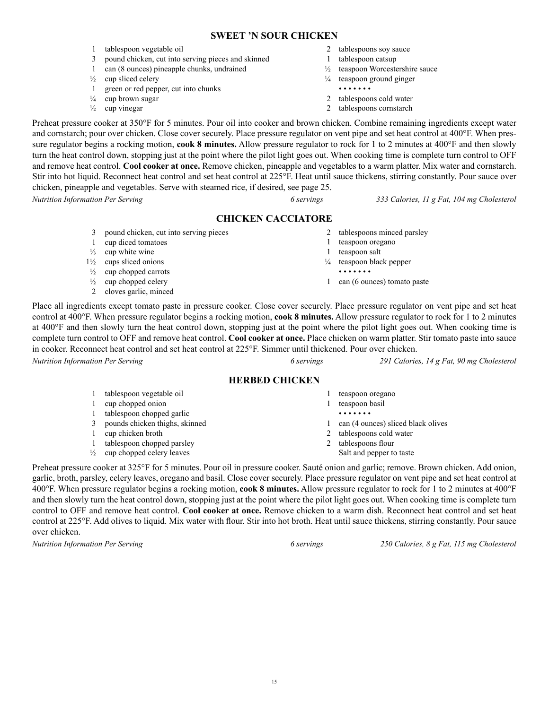# **SWEET 'N SOUR CHICKEN**

- 1 tablespoon vegetable oil
- 3 pound chicken, cut into serving pieces and skinned
- 1 can (8 ounces) pineapple chunks, undrained
- $\frac{1}{2}$  cup sliced celery
- 1 green or red pepper, cut into chunks
- $\frac{1}{4}$  cup brown sugar
- $\frac{1}{2}$  cup vinegar
- 2 tablespoons soy sauce
- 1 tablespoon catsup
- ½ teaspoon Worcestershire sauce
- $\frac{1}{4}$  teaspoon ground ginger
	- • • • •
- 2 tablespoons cold water
- 2 tablespoons cornstarch

Preheat pressure cooker at 350°F for 5 minutes. Pour oil into cooker and brown chicken. Combine remaining ingredients except water and cornstarch; pour over chicken. Close cover securely. Place pressure regulator on vent pipe and set heat control at 400°F. When pressure regulator begins a rocking motion, **cook 8 minutes.** Allow pressure regulator to rock for 1 to 2 minutes at 400°F and then slowly turn the heat control down, stopping just at the point where the pilot light goes out. When cooking time is complete turn control to OFF and remove heat control. **Cool cooker at once.** Remove chicken, pineapple and vegetables to a warm platter. Mix water and cornstarch. Stir into hot liquid. Reconnect heat control and set heat control at 225°F. Heat until sauce thickens, stirring constantly. Pour sauce over chicken, pineapple and vegetables. Serve with steamed rice, if desired, see page 25.

*Nutrition Information Per Serving 6 servings 333 Calories, 11 g Fat, 104 mg Cholesterol*

# **CHICKEN CACCIATORE**

- 3 pound chicken, cut into serving pieces 1 cup diced tomatoes  $\frac{1}{3}$  cup white wine 1½ cups sliced onions  $\frac{1}{2}$  cup chopped carrots  $\frac{1}{2}$  cup chopped celery 2 tablespoons minced parsley 1 teaspoon oregano 1 teaspoon salt ¼ teaspoon black pepper • • • • • • • 1 can (6 ounces) tomato paste
- 2 cloves garlic, minced

Place all ingredients except tomato paste in pressure cooker. Close cover securely. Place pressure regulator on vent pipe and set heat control at 400°F. When pressure regulator begins a rocking motion, **cook 8 minutes.** Allow pressure regulator to rock for 1 to 2 minutes at 400°F and then slowly turn the heat control down, stopping just at the point where the pilot light goes out. When cooking time is complete turn control to OFF and remove heat control. **Cool cooker at once.** Place chicken on warm platter. Stir tomato paste into sauce in cooker. Reconnect heat control and set heat control at 225°F. Simmer until thickened. Pour over chicken.

*Nutrition Information Per Serving 6 servings 291 Calories, 14 g Fat, 90 mg Cholesterol*

#### **HERBED CHICKEN**

 tablespoon vegetable oil cup chopped onion tablespoon chopped garlic pounds chicken thighs, skinned cup chicken broth tablespoon chopped parsley ½ cup chopped celery leaves teaspoon oregano teaspoon basil • • • • • • • can (4 ounces) sliced black olives tablespoons cold water 2 tablespoons flour Salt and pepper to taste

Preheat pressure cooker at 325°F for 5 minutes. Pour oil in pressure cooker. Sauté onion and garlic; remove. Brown chicken. Add onion, garlic, broth, parsley, celery leaves, oregano and basil. Close cover securely. Place pressure regulator on vent pipe and set heat control at 400°F. When pressure regulator begins a rocking motion, **cook 8 minutes.** Allow pressure regulator to rock for 1 to 2 minutes at 400°F and then slowly turn the heat control down, stopping just at the point where the pilot light goes out. When cooking time is complete turn control to OFF and remove heat control. **Cool cooker at once.** Remove chicken to a warm dish. Reconnect heat control and set heat control at 225°F. Add olives to liquid. Mix water with flour. Stir into hot broth. Heat until sauce thickens, stirring constantly. Pour sauce over chicken.

*Nutrition Information Per Serving 6 servings 250 Calories, 8 g Fat, 115 mg Cholesterol*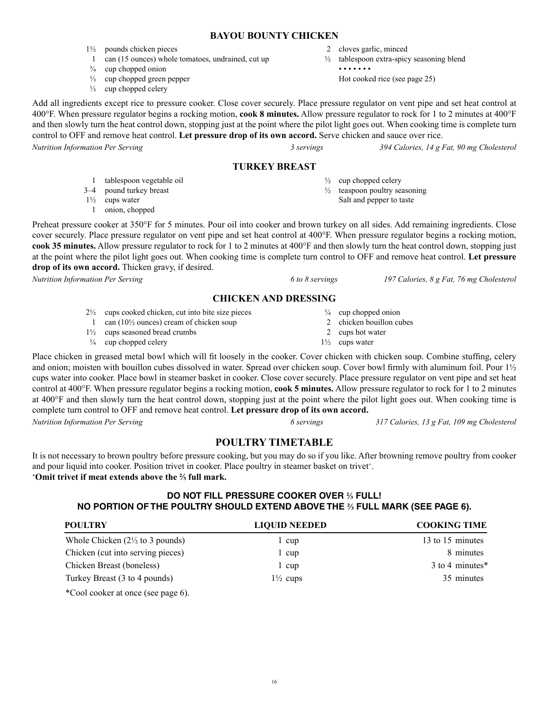# 16

# **BAYOU BOUNTY CHICKEN**

- 1½ pounds chicken pieces
	- 1 can (15 ounces) whole tomatoes, undrained, cut up
- $\frac{3}{4}$  cup chopped onion
- ⅓ cup chopped green pepper
- ⅓ cup chopped celery
- 2 cloves garlic, minced
- ½ tablespoon extra-spicy seasoning blend
	- • • • Hot cooked rice (see page 25)

Add all ingredients except rice to pressure cooker. Close cover securely. Place pressure regulator on vent pipe and set heat control at 400°F. When pressure regulator begins a rocking motion, **cook 8 minutes.** Allow pressure regulator to rock for 1 to 2 minutes at 400°F and then slowly turn the heat control down, stopping just at the point where the pilot light goes out. When cooking time is complete turn control to OFF and remove heat control. **Let pressure drop of its own accord.** Serve chicken and sauce over rice.

*Nutrition Information Per Serving 3 servings 394 Calories, 14 g Fat, 90 mg Cholesterol*

# **TURKEY BREAST**

- 1 tablespoon vegetable oil
- 3–4 pound turkey breast
- $1\frac{1}{2}$  cups water
	- 1 onion, chopped

Preheat pressure cooker at 350°F for 5 minutes. Pour oil into cooker and brown turkey on all sides. Add remaining ingredients. Close cover securely. Place pressure regulator on vent pipe and set heat control at 400°F. When pressure regulator begins a rocking motion, **cook 35 minutes.** Allow pressure regulator to rock for 1 to 2 minutes at 400°F and then slowly turn the heat control down, stopping just at the point where the pilot light goes out. When cooking time is complete turn control to OFF and remove heat control. **Let pressure drop of its own accord.** Thicken gravy, if desired.

# **CHICKEN AND DRESSING**

- 2½ cups cooked chicken, cut into bite size pieces
- 1 can  $(10\frac{1}{2})$  ounces) cream of chicken soup
- 1½ cups seasoned bread crumbs
- $\frac{1}{4}$  cup chopped celery

Place chicken in greased metal bowl which will fit loosely in the cooker. Cover chicken with chicken soup. Combine stuffing, celery and onion; moisten with bouillon cubes dissolved in water. Spread over chicken soup. Cover bowl firmly with aluminum foil. Pour 1½ cups water into cooker. Place bowl in steamer basket in cooker. Close cover securely. Place pressure regulator on vent pipe and set heat control at 400°F. When pressure regulator begins a rocking motion, **cook 5 minutes.** Allow pressure regulator to rock for 1 to 2 minutes at 400°F and then slowly turn the heat control down, stopping just at the point where the pilot light goes out. When cooking time is complete turn control to OFF and remove heat control. **Let pressure drop of its own accord.**

*Nutrition Information Per Serving 6 servings 317 Calories, 13 g Fat, 109 mg Cholesterol*

# **POULTRY TIMETABLE**

It is not necessary to brown poultry before pressure cooking, but you may do so if you like. After browning remove poultry from cooker and pour liquid into cooker. Position trivet in cooker. Place poultry in steamer basket on trivet<sup>+</sup>. **+ Omit trivet if meat extends above the ⅔ full mark.**

# **DO NOT FILL PRESSURE COOKER OVER ⅔ FULL! NO PORTION OF THE POULTRY SHOULD EXTEND ABOVE THE ⅔ FULL MARK (SEE PAGE 6).**

| <b>POULTRY</b>                              | <b>LIQUID NEEDED</b> | <b>COOKING TIME</b> |
|---------------------------------------------|----------------------|---------------------|
| Whole Chicken $(2\frac{1}{2})$ to 3 pounds) | l cup                | 13 to 15 minutes    |
| Chicken (cut into serving pieces)           | 1 cup                | 8 minutes           |
| Chicken Breast (boneless)                   | 1 cup                | 3 to 4 minutes*     |
| Turkey Breast (3 to 4 pounds)               | $1\frac{1}{2}$ cups  | 35 minutes          |
|                                             |                      |                     |

\*Cool cooker at once (see page 6).

 $\frac{1}{2}$  cup chopped celery

- $\frac{1}{2}$  teaspoon poultry seasoning Salt and pepper to taste
- 

*Nutrition Information Per Serving 6 to 8 servings 197 Calories, 8 g Fat, 76 mg Cholesterol*

- $\frac{1}{4}$  cup chopped onion
- 2 chicken bouillon cubes
- 2 cups hot water
- $1\frac{1}{2}$  cups water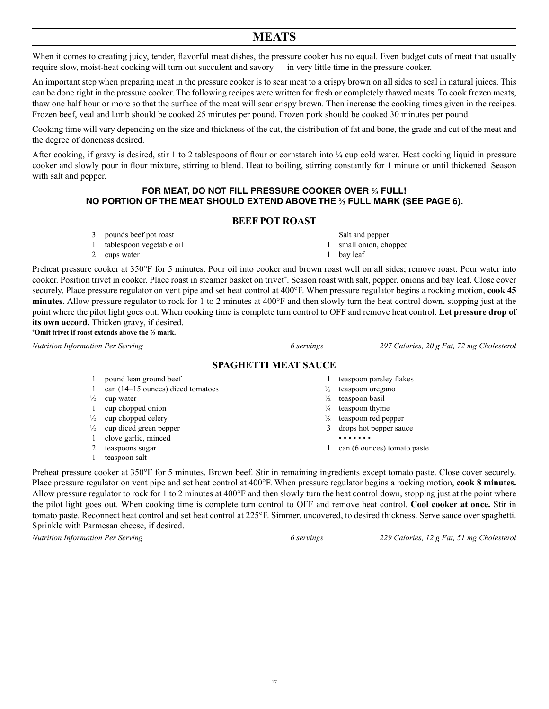# **MEATS**

When it comes to creating juicy, tender, flavorful meat dishes, the pressure cooker has no equal. Even budget cuts of meat that usually require slow, moist-heat cooking will turn out succulent and savory — in very little time in the pressure cooker.

An important step when preparing meat in the pressure cooker is to sear meat to a crispy brown on all sides to seal in natural juices. This can be done right in the pressure cooker. The following recipes were written for fresh or completely thawed meats. To cook frozen meats, thaw one half hour or more so that the surface of the meat will sear crispy brown. Then increase the cooking times given in the recipes. Frozen beef, veal and lamb should be cooked 25 minutes per pound. Frozen pork should be cooked 30 minutes per pound.

Cooking time will vary depending on the size and thickness of the cut, the distribution of fat and bone, the grade and cut of the meat and the degree of doneness desired.

After cooking, if gravy is desired, stir 1 to 2 tablespoons of flour or cornstarch into  $\frac{1}{4}$  cup cold water. Heat cooking liquid in pressure cooker and slowly pour in flour mixture, stirring to blend. Heat to boiling, stirring constantly for 1 minute or until thickened. Season with salt and pepper.

# **FOR MEAT, DO NOT FILL PRESSURE COOKER OVER ⅔ FULL! NO PORTION OF THE MEAT SHOULD EXTEND ABOVE THE ⅔ FULL MARK (SEE PAGE 6).**

#### **BEEF POT ROAST**

- 3 pounds beef pot roast
- 1 tablespoon vegetable oil
- 2 cups water

Preheat pressure cooker at 350°F for 5 minutes. Pour oil into cooker and brown roast well on all sides; remove roast. Pour water into cooker. Position trivet in cooker. Place roast in steamer basket on trivet<sup>+</sup>. Season roast with salt, pepper, onions and bay leaf. Close cover securely. Place pressure regulator on vent pipe and set heat control at 400°F. When pressure regulator begins a rocking motion, **cook 45 minutes.** Allow pressure regulator to rock for 1 to 2 minutes at 400°F and then slowly turn the heat control down, stopping just at the point where the pilot light goes out. When cooking time is complete turn control to OFF and remove heat control. **Let pressure drop of its own accord.** Thicken gravy, if desired. **+ Omit trivet if roast extends above the ⅔ mark.**

*Nutrition Information Per Serving 6 servings 297 Calories, 20 g Fat, 72 mg Cholesterol*

#### **SPAGHETTI MEAT SAUCE**

- 1 pound lean ground beef
- 1 can (14–15 ounces) diced tomatoes
- $\frac{1}{2}$  cup water
- 1 cup chopped onion
- $\frac{1}{2}$  cup chopped celery
- $\frac{1}{2}$  cup diced green pepper
- 1 clove garlic, minced
- 2 teaspoons sugar
- 1 teaspoon salt

Preheat pressure cooker at 350°F for 5 minutes. Brown beef. Stir in remaining ingredients except tomato paste. Close cover securely. Place pressure regulator on vent pipe and set heat control at 400°F. When pressure regulator begins a rocking motion, **cook 8 minutes.**  Allow pressure regulator to rock for 1 to 2 minutes at 400°F and then slowly turn the heat control down, stopping just at the point where the pilot light goes out. When cooking time is complete turn control to OFF and remove heat control. **Cool cooker at once.** Stir in tomato paste. Reconnect heat control and set heat control at 225°F. Simmer, uncovered, to desired thickness. Serve sauce over spaghetti. Sprinkle with Parmesan cheese, if desired.

*Nutrition Information Per Serving 6 servings 229 Calories, 12 g Fat, 51 mg Cholesterol*

1 teaspoon parsley flakes

Salt and pepper 1 small onion, chopped

1 bay leaf

- $\frac{1}{2}$  teaspoon oregano
- $\frac{1}{2}$  teaspoon basil
- $\frac{1}{4}$  teaspoon thyme
- ⅛ teaspoon red pepper 3 drops hot pepper sauce
	- • • • •
- 1 can (6 ounces) tomato paste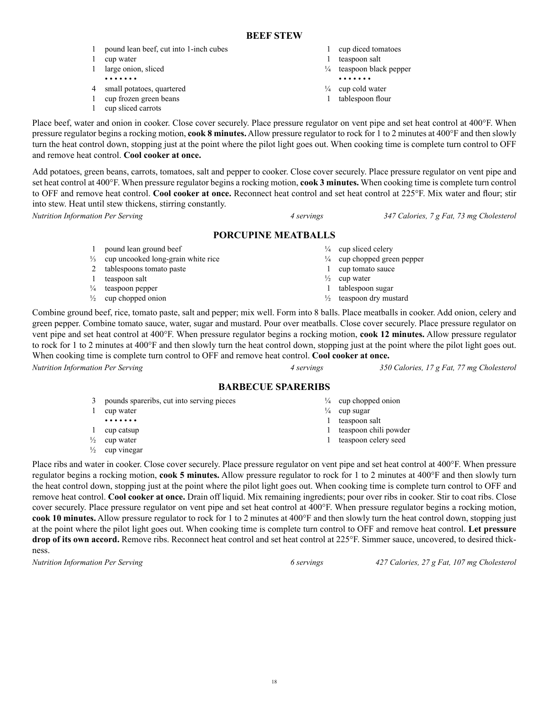- 1 pound lean beef, cut into 1-inch cubes
- 1 cup water
- 1 large onion, sliced
- • • • •
- 4 small potatoes, quartered
- 1 cup frozen green beans
- 1 cup sliced carrots
- 1 cup diced tomatoes
- 1 teaspoon salt
- ¼ teaspoon black pepper • • • • • • •
- ¼ cup cold water
- 1 tablespoon flour
- 

 $\frac{1}{4}$  cup sliced celery

¼ cup chopped green pepper 1 cup tomato sauce  $\frac{1}{2}$  cup water 1 tablespoon sugar  $\frac{1}{2}$  teaspoon dry mustard

Place beef, water and onion in cooker. Close cover securely. Place pressure regulator on vent pipe and set heat control at 400°F. When pressure regulator begins a rocking motion, **cook 8 minutes.** Allow pressure regulator to rock for 1 to 2 minutes at 400°F and then slowly turn the heat control down, stopping just at the point where the pilot light goes out. When cooking time is complete turn control to OFF and remove heat control. **Cool cooker at once.**

Add potatoes, green beans, carrots, tomatoes, salt and pepper to cooker. Close cover securely. Place pressure regulator on vent pipe and set heat control at 400°F. When pressure regulator begins a rocking motion, **cook 3 minutes.** When cooking time is complete turn control to OFF and remove heat control. **Cool cooker at once.** Reconnect heat control and set heat control at 225°F. Mix water and flour; stir into stew. Heat until stew thickens, stirring constantly.

*Nutrition Information Per Serving 4 servings 347 Calories, 7 g Fat, 73 mg Cholesterol*

# **PORCUPINE MEATBALLS**

- 1 pound lean ground beef
- ⅓ cup uncooked long-grain white rice

2 tablespoons tomato paste

- 1 teaspoon salt
- $\frac{1}{4}$  teaspoon pepper
- $\frac{1}{2}$  cup chopped onion

Combine ground beef, rice, tomato paste, salt and pepper; mix well. Form into 8 balls. Place meatballs in cooker. Add onion, celery and green pepper. Combine tomato sauce, water, sugar and mustard. Pour over meatballs. Close cover securely. Place pressure regulator on vent pipe and set heat control at 400°F. When pressure regulator begins a rocking motion, **cook 12 minutes.** Allow pressure regulator to rock for 1 to 2 minutes at 400°F and then slowly turn the heat control down, stopping just at the point where the pilot light goes out. When cooking time is complete turn control to OFF and remove heat control. **Cool cooker at once.**

*Nutrition Information Per Serving 4 servings 350 Calories, 17 g Fat, 77 mg Cholesterol*

# **BARBECUE SPARERIBS**

- 3 pounds spareribs, cut into serving pieces 1 cup water • • • • • • • 1 cup catsup  $\frac{1}{2}$  cup water  $\frac{1}{4}$  cup chopped onion  $\frac{1}{4}$  cup sugar 1 teaspoon salt 1 teaspoon chili powder 1 teaspoon celery seed
- $\frac{1}{2}$  cup vinegar
- Place ribs and water in cooker. Close cover securely. Place pressure regulator on vent pipe and set heat control at 400°F. When pressure regulator begins a rocking motion, **cook 5 minutes.** Allow pressure regulator to rock for 1 to 2 minutes at 400°F and then slowly turn the heat control down, stopping just at the point where the pilot light goes out. When cooking time is complete turn control to OFF and remove heat control. **Cool cooker at once.** Drain off liquid. Mix remaining ingredients; pour over ribs in cooker. Stir to coat ribs. Close cover securely. Place pressure regulator on vent pipe and set heat control at 400°F. When pressure regulator begins a rocking motion, **cook 10 minutes.** Allow pressure regulator to rock for 1 to 2 minutes at 400°F and then slowly turn the heat control down, stopping just at the point where the pilot light goes out. When cooking time is complete turn control to OFF and remove heat control. **Let pressure drop of its own accord.** Remove ribs. Reconnect heat control and set heat control at 225°F. Simmer sauce, uncovered, to desired thickness.

18

*Nutrition Information Per Serving 6 servings 427 Calories, 27 g Fat, 107 mg Cholesterol*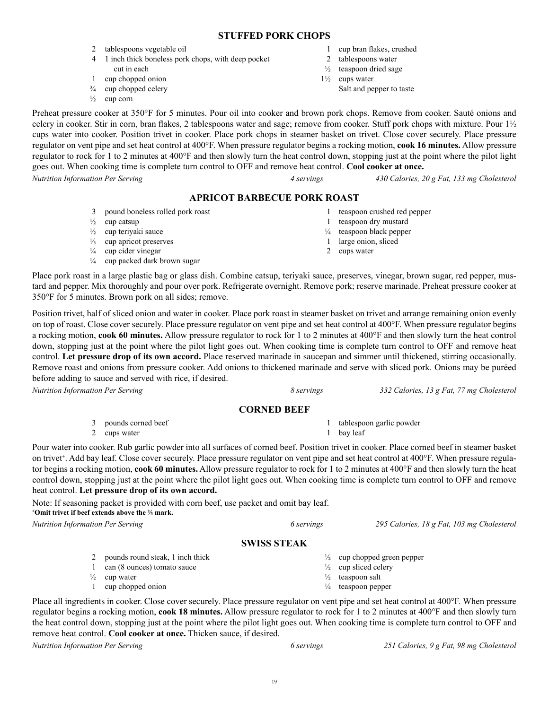# **STUFFED PORK CHOPS**

- 2 tablespoons vegetable oil
- 4 1 inch thick boneless pork chops, with deep pocket cut in each
- 1 cup chopped onion
- ¾ cup chopped celery
- $\frac{1}{2}$  cup corn

Preheat pressure cooker at 350°F for 5 minutes. Pour oil into cooker and brown pork chops. Remove from cooker. Sauté onions and celery in cooker. Stir in corn, bran flakes, 2 tablespoons water and sage; remove from cooker. Stuff pork chops with mixture. Pour 1½ cups water into cooker. Position trivet in cooker. Place pork chops in steamer basket on trivet. Close cover securely. Place pressure regulator on vent pipe and set heat control at 400°F. When pressure regulator begins a rocking motion, **cook 16 minutes.** Allow pressure regulator to rock for 1 to 2 minutes at 400°F and then slowly turn the heat control down, stopping just at the point where the pilot light goes out. When cooking time is complete turn control to OFF and remove heat control. **Cool cooker at once.** *Nutrition Information Per Serving 4 servings 430 Calories, 20 g Fat, 133 mg Cholesterol*

#### **APRICOT BARBECUE PORK ROAST**

- 3 pound boneless rolled pork roast
- $\frac{1}{2}$  cup catsup
- ½ cup teriyaki sauce
- ⅓ cup apricot preserves
- $\frac{1}{4}$  cup cider vinegar
- ¼ cup packed dark brown sugar
- 1 cup bran flakes, crushed
- 2 tablespoons water
- ½ teaspoon dried sage
- 1½ cups water
	- Salt and pepper to taste

- 1 teaspoon crushed red pepper
- 1 teaspoon dry mustard ¼ teaspoon black pepper
- 1 large onion, sliced
- 2 cups water

Place pork roast in a large plastic bag or glass dish. Combine catsup, teriyaki sauce, preserves, vinegar, brown sugar, red pepper, mustard and pepper. Mix thoroughly and pour over pork. Refrigerate overnight. Remove pork; reserve marinade. Preheat pressure cooker at 350°F for 5 minutes. Brown pork on all sides; remove.

Position trivet, half of sliced onion and water in cooker. Place pork roast in steamer basket on trivet and arrange remaining onion evenly on top of roast. Close cover securely. Place pressure regulator on vent pipe and set heat control at 400°F. When pressure regulator begins a rocking motion, **cook 60 minutes.** Allow pressure regulator to rock for 1 to 2 minutes at 400°F and then slowly turn the heat control down, stopping just at the point where the pilot light goes out. When cooking time is complete turn control to OFF and remove heat control. **Let pressure drop of its own accord.** Place reserved marinade in saucepan and simmer until thickened, stirring occasionally. Remove roast and onions from pressure cooker. Add onions to thickened marinade and serve with sliced pork. Onions may be puréed before adding to sauce and served with rice, if desired.

*Nutrition Information Per Serving 8 servings 332 Calories, 13 g Fat, 77 mg Cholesterol*

### **CORNED BEEF**

| 3 pounds corned beef | tablespoon garlic powder |
|----------------------|--------------------------|
| 2 cups water         | bay leaf                 |

Pour water into cooker. Rub garlic powder into all surfaces of corned beef. Position trivet in cooker. Place corned beef in steamer basket on trivet<sup>+</sup>. Add bay leaf. Close cover securely. Place pressure regulator on vent pipe and set heat control at 400°F. When pressure regulator begins a rocking motion, **cook 60 minutes.** Allow pressure regulator to rock for 1 to 2 minutes at 400°F and then slowly turn the heat control down, stopping just at the point where the pilot light goes out. When cooking time is complete turn control to OFF and remove heat control. **Let pressure drop of its own accord.**

Note: If seasoning packet is provided with corn beef, use packet and omit bay leaf. **+ Omit trivet if beef extends above the ⅔ mark.**

*Nutrition Information Per Serving 6 servings 295 Calories, 18 g Fat, 103 mg Cholesterol*

### **SWISS STEAK**

- 2 pounds round steak, 1 inch thick
- 1 can (8 ounces) tomato sauce
- $\frac{1}{2}$  cup water
- 1 cup chopped onion

Place all ingredients in cooker. Close cover securely. Place pressure regulator on vent pipe and set heat control at 400°F. When pressure regulator begins a rocking motion, **cook 18 minutes.** Allow pressure regulator to rock for 1 to 2 minutes at 400°F and then slowly turn the heat control down, stopping just at the point where the pilot light goes out. When cooking time is complete turn control to OFF and remove heat control. **Cool cooker at once.** Thicken sauce, if desired.

*Nutrition Information Per Serving 6 servings 251 Calories, 9 g Fat, 98 mg Cholesterol*



- $\frac{1}{2}$  cup chopped green pepper
- $\frac{1}{2}$  cup sliced celery
- $\frac{1}{2}$  teaspoon salt
- ¼ teaspoon pepper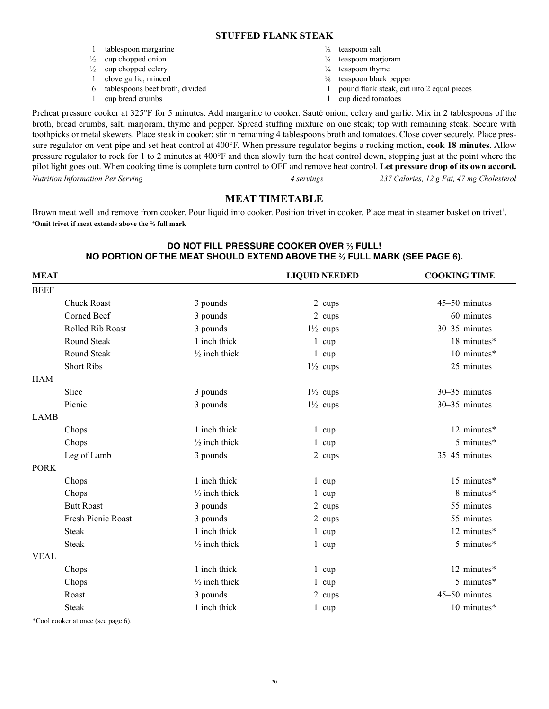#### **STUFFED FLANK STEAK**

1 tablespoon margarine  $\frac{1}{2}$  cup chopped onion  $\frac{1}{2}$  cup chopped celery 1 clove garlic, minced 6 tablespoons beef broth, divided 1 cup bread crumbs  $\frac{1}{2}$  teaspoon salt  $\frac{1}{4}$  teaspoon marjoram  $\frac{1}{4}$  teaspoon thyme ⅛ teaspoon black pepper 1 pound flank steak, cut into 2 equal pieces 1 cup diced tomatoes

Preheat pressure cooker at 325°F for 5 minutes. Add margarine to cooker. Sauté onion, celery and garlic. Mix in 2 tablespoons of the broth, bread crumbs, salt, marjoram, thyme and pepper. Spread stuffing mixture on one steak; top with remaining steak. Secure with toothpicks or metal skewers. Place steak in cooker; stir in remaining 4 tablespoons broth and tomatoes. Close cover securely. Place pressure regulator on vent pipe and set heat control at 400°F. When pressure regulator begins a rocking motion, **cook 18 minutes.** Allow pressure regulator to rock for 1 to 2 minutes at 400°F and then slowly turn the heat control down, stopping just at the point where the pilot light goes out. When cooking time is complete turn control to OFF and remove heat control. **Let pressure drop of its own accord.**  *Nutrition Information Per Serving 4 servings 237 Calories, 12 g Fat, 47 mg Cholesterol*

# **MEAT TIMETABLE**

Brown meat well and remove from cooker. Pour liquid into cooker. Position trivet in cooker. Place meat in steamer basket on trivet<sup>+</sup>. **+ Omit trivet if meat extends above the ⅔ full mark** 

# **DO NOT FILL PRESSURE COOKER OVER ⅔ FULL! NO PORTION OF THE MEAT SHOULD EXTEND ABOVE THE ⅔ FULL MARK (SEE PAGE 6).**

| <b>MEAT</b>               |                          | <b>LIQUID NEEDED</b> | <b>COOKING TIME</b> |
|---------------------------|--------------------------|----------------------|---------------------|
| <b>BEEF</b>               |                          |                      |                     |
| <b>Chuck Roast</b>        | 3 pounds                 | 2 cups               | 45-50 minutes       |
| Corned Beef               | 3 pounds                 | 2 cups               | 60 minutes          |
| Rolled Rib Roast          | 3 pounds                 | $1\frac{1}{2}$ cups  | 30-35 minutes       |
| Round Steak               | 1 inch thick             | $1 \text{ cup}$      | 18 minutes*         |
| <b>Round Steak</b>        | $\frac{1}{2}$ inch thick | $1 \text{ cup}$      | 10 minutes*         |
| <b>Short Ribs</b>         |                          | $1\frac{1}{2}$ cups  | 25 minutes          |
| <b>HAM</b>                |                          |                      |                     |
| Slice                     | 3 pounds                 | $1\frac{1}{2}$ cups  | 30-35 minutes       |
| Picnic                    | 3 pounds                 | $1\frac{1}{2}$ cups  | 30-35 minutes       |
| <b>LAMB</b>               |                          |                      |                     |
| Chops                     | 1 inch thick             | $1 \text{ cup}$      | 12 minutes*         |
| Chops                     | $\frac{1}{2}$ inch thick | $1 \text{ cup}$      | 5 minutes*          |
| Leg of Lamb               | 3 pounds                 | 2 cups               | 35-45 minutes       |
| <b>PORK</b>               |                          |                      |                     |
| Chops                     | 1 inch thick             | $1 \text{ cup}$      | 15 minutes*         |
| Chops                     | $\frac{1}{2}$ inch thick | $1 \text{ cup}$      | 8 minutes*          |
| <b>Butt Roast</b>         | 3 pounds                 | 2 cups               | 55 minutes          |
| <b>Fresh Picnic Roast</b> | 3 pounds                 | 2 cups               | 55 minutes          |
| <b>Steak</b>              | 1 inch thick             | $1 \quad \text{cup}$ | 12 minutes*         |
| <b>Steak</b>              | $\frac{1}{2}$ inch thick | $1 \text{ cup}$      | 5 minutes*          |
| <b>VEAL</b>               |                          |                      |                     |
| Chops                     | 1 inch thick             | $1 \text{ cup}$      | 12 minutes*         |
| Chops                     | $\frac{1}{2}$ inch thick | $1 \text{ cup}$      | 5 minutes*          |
| Roast                     | 3 pounds                 | 2 cups               | 45-50 minutes       |
| <b>Steak</b>              | 1 inch thick             | $1 \quad \text{cup}$ | 10 minutes*         |

\*Cool cooker at once (see page 6).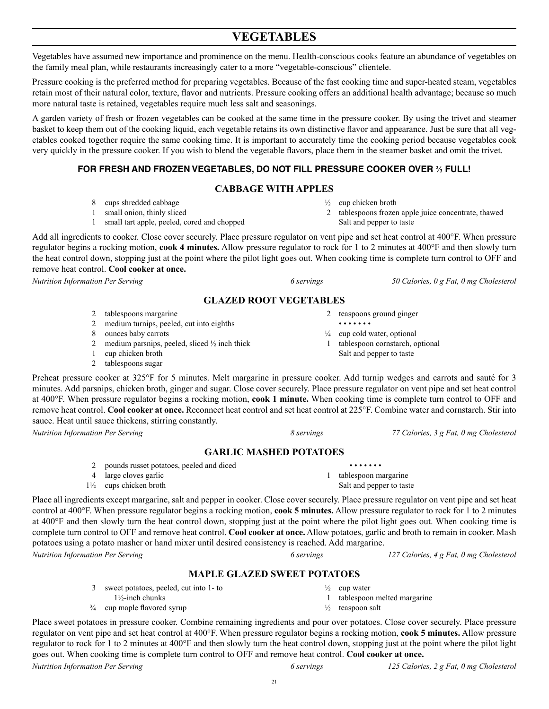# **VEGETABLES**

Vegetables have assumed new importance and prominence on the menu. Health-conscious cooks feature an abundance of vegetables on the family meal plan, while restaurants increasingly cater to a more "vegetable-conscious" clientele.

Pressure cooking is the preferred method for preparing vegetables. Because of the fast cooking time and super-heated steam, vegetables retain most of their natural color, texture, flavor and nutrients. Pressure cooking offers an additional health advantage; because so much more natural taste is retained, vegetables require much less salt and seasonings.

A garden variety of fresh or frozen vegetables can be cooked at the same time in the pressure cooker. By using the trivet and steamer basket to keep them out of the cooking liquid, each vegetable retains its own distinctive flavor and appearance. Just be sure that all vegetables cooked together require the same cooking time. It is important to accurately time the cooking period because vegetables cook very quickly in the pressure cooker. If you wish to blend the vegetable flavors, place them in the steamer basket and omit the trivet.

# **FOR FRESH AND FROZEN VEGETABLES, DO NOT FILL PRESSURE COOKER OVER ⅔ FULL!**

# **CABBAGE WITH APPLES**

- 8 cups shredded cabbage
- 1 small onion, thinly sliced
- 1 small tart apple, peeled, cored and chopped

Add all ingredients to cooker. Close cover securely. Place pressure regulator on vent pipe and set heat control at 400°F. When pressure regulator begins a rocking motion, **cook 4 minutes.** Allow pressure regulator to rock for 1 to 2 minutes at 400°F and then slowly turn the heat control down, stopping just at the point where the pilot light goes out. When cooking time is complete turn control to OFF and remove heat control. **Cool cooker at once.**

*Nutrition Information Per Serving 6 servings 50 Calories, 0 g Fat, 0 mg Cholesterol*

# **GLAZED ROOT VEGETABLES**

- 2 tablespoons margarine
- 2 medium turnips, peeled, cut into eighths
- 8 ounces baby carrots
- 2 medium parsnips, peeled, sliced  $\frac{1}{2}$  inch thick
- 1 cup chicken broth
- 2 tablespoons sugar

Preheat pressure cooker at 325°F for 5 minutes. Melt margarine in pressure cooker. Add turnip wedges and carrots and sauté for 3 minutes. Add parsnips, chicken broth, ginger and sugar. Close cover securely. Place pressure regulator on vent pipe and set heat control at 400°F. When pressure regulator begins a rocking motion, **cook 1 minute.** When cooking time is complete turn control to OFF and remove heat control. **Cool cooker at once.** Reconnect heat control and set heat control at 225°F. Combine water and cornstarch. Stir into sauce. Heat until sauce thickens, stirring constantly.

*Nutrition Information Per Serving 8 servings 77 Calories, 3 g Fat, 0 mg Cholesterol*

# **GARLIC MASHED POTATOES**

- 2 pounds russet potatoes, peeled and diced
- 4 large cloves garlic 1½ cups chicken broth

Place all ingredients except margarine, salt and pepper in cooker. Close cover securely. Place pressure regulator on vent pipe and set heat control at 400°F. When pressure regulator begins a rocking motion, **cook 5 minutes.** Allow pressure regulator to rock for 1 to 2 minutes at 400°F and then slowly turn the heat control down, stopping just at the point where the pilot light goes out. When cooking time is complete turn control to OFF and remove heat control. **Cool cooker at once.** Allow potatoes, garlic and broth to remain in cooker. Mash potatoes using a potato masher or hand mixer until desired consistency is reached. Add margarine.

*Nutrition Information Per Serving 6 servings 127 Calories, 4 g Fat, 0 mg Cholesterol*

# **MAPLE GLAZED SWEET POTATOES**

- 3 sweet potatoes, peeled, cut into 1- to  $\frac{1}{2}$  cup water 1 tablespoon melted margarine
- 1½-inch chunks  $\frac{3}{4}$  cup maple flavored syrup

Place sweet potatoes in pressure cooker. Combine remaining ingredients and pour over potatoes. Close cover securely. Place pressure regulator on vent pipe and set heat control at 400°F. When pressure regulator begins a rocking motion, **cook 5 minutes.** Allow pressure regulator to rock for 1 to 2 minutes at 400°F and then slowly turn the heat control down, stopping just at the point where the pilot light goes out. When cooking time is complete turn control to OFF and remove heat control. **Cool cooker at once.**

2 tablespoons frozen apple juice concentrate, thawed Salt and pepper to taste

 $\frac{1}{2}$  cup chicken broth

- 
- teaspoons ground ginger
- $\frac{1}{4}$  cup cold water, optional

• • • • • • •

1 tablespoon cornstarch, optional Salt and pepper to taste

*Nutrition Information Per Serving 6 servings 125 Calories, 2 g Fat, 0 mg Cholesterol*

 • • • • • • • 1 tablespoon margarine Salt and pepper to taste

 $\frac{1}{2}$  teaspoon salt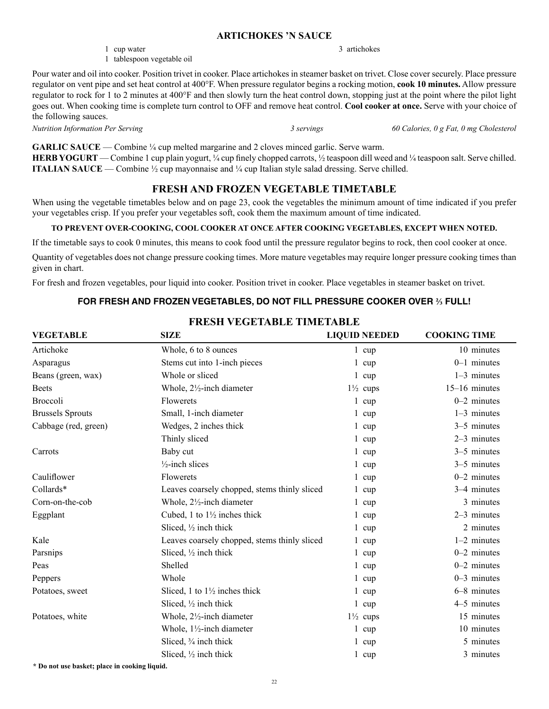#### **ARTICHOKES 'N SAUCE**

- 1 cup water
- 1 tablespoon vegetable oil

Pour water and oil into cooker. Position trivet in cooker. Place artichokes in steamer basket on trivet. Close cover securely. Place pressure regulator on vent pipe and set heat control at 400°F. When pressure regulator begins a rocking motion, **cook 10 minutes.** Allow pressure regulator to rock for 1 to 2 minutes at 400°F and then slowly turn the heat control down, stopping just at the point where the pilot light goes out. When cooking time is complete turn control to OFF and remove heat control. **Cool cooker at once.** Serve with your choice of the following sauces.

3 artichokes

*Nutrition Information Per Serving 3 servings 60 Calories, 0 g Fat, 0 mg Cholesterol*

**GARLIC SAUCE** — Combine ¼ cup melted margarine and 2 cloves minced garlic. Serve warm. **HERB YOGURT** — Combine 1 cup plain yogurt, ¼ cup finely chopped carrots, ½ teaspoon dill weed and ¼ teaspoon salt. Serve chilled. **ITALIAN SAUCE** — Combine  $\frac{1}{2}$  cup mayonnaise and  $\frac{1}{4}$  cup Italian style salad dressing. Serve chilled.

# **FRESH AND FROZEN VEGETABLE TIMETABLE**

When using the vegetable timetables below and on page 23, cook the vegetables the minimum amount of time indicated if you prefer your vegetables crisp. If you prefer your vegetables soft, cook them the maximum amount of time indicated.

# **TO PREVENT OVER-COOKING, COOL COOKER AT ONCE AFTER COOKING VEGETABLES, EXCEPT WHEN NOTED.**

If the timetable says to cook 0 minutes, this means to cook food until the pressure regulator begins to rock, then cool cooker at once.

Quantity of vegetables does not change pressure cooking times. More mature vegetables may require longer pressure cooking times than given in chart.

For fresh and frozen vegetables, pour liquid into cooker. Position trivet in cooker. Place vegetables in steamer basket on trivet.

# **FOR FRESH AND FROZEN VEGETABLES, DO NOT FILL PRESSURE COOKER OVER ⅔ FULL!**

| <b>VEGETABLE</b>        | <b>SIZE</b>                                  | <b>LIQUID NEEDED</b> | <b>COOKING TIME</b> |
|-------------------------|----------------------------------------------|----------------------|---------------------|
| Artichoke               | Whole, 6 to 8 ounces                         | $1 \quad \text{cup}$ | 10 minutes          |
| Asparagus               | Stems cut into 1-inch pieces                 | $1 \text{ cup}$      | $0-1$ minutes       |
| Beans (green, wax)      | Whole or sliced                              | $1 \text{ cup}$      | $1-3$ minutes       |
| <b>Beets</b>            | Whole, 2½-inch diameter                      | $1\frac{1}{2}$ cups  | $15-16$ minutes     |
| <b>Broccoli</b>         | Flowerets                                    | $1 \quad \text{cup}$ | $0-2$ minutes       |
| <b>Brussels Sprouts</b> | Small, 1-inch diameter                       | $1$ cup              | $1-3$ minutes       |
| Cabbage (red, green)    | Wedges, 2 inches thick                       | $1 \text{ cup}$      | $3-5$ minutes       |
|                         | Thinly sliced                                | $1 \text{ cup}$      | 2-3 minutes         |
| Carrots                 | Baby cut                                     | $1 \text{ cup}$      | 3–5 minutes         |
|                         | $\frac{1}{2}$ -inch slices                   | $1 \text{ cup}$      | 3-5 minutes         |
| Cauliflower             | Flowerets                                    | $1 \text{ cup}$      | $0-2$ minutes       |
| Collards*               | Leaves coarsely chopped, stems thinly sliced | $1 \text{ cup}$      | 3–4 minutes         |
| Corn-on-the-cob         | Whole, 21/2-inch diameter                    | $1 \quad \text{cup}$ | 3 minutes           |
| Eggplant                | Cubed, 1 to $1\frac{1}{2}$ inches thick      | $1 \text{ cup}$      | 2-3 minutes         |
|                         | Sliced, $\frac{1}{2}$ inch thick             | $1 \text{ cup}$      | 2 minutes           |
| Kale                    | Leaves coarsely chopped, stems thinly sliced | $1 \text{ cup}$      | $1-2$ minutes       |
| Parsnips                | Sliced, $\frac{1}{2}$ inch thick             | $1 \text{ cup}$      | $0-2$ minutes       |
| Peas                    | Shelled                                      | $1 \text{ cup}$      | $0-2$ minutes       |
| Peppers                 | Whole                                        | $1 \text{ cup}$      | $0-3$ minutes       |
| Potatoes, sweet         | Sliced, 1 to $1\frac{1}{2}$ inches thick     | $1 \text{ cup}$      | 6-8 minutes         |
|                         | Sliced, $\frac{1}{2}$ inch thick             | $1 \text{ cup}$      | 4–5 minutes         |
| Potatoes, white         | Whole, $2\frac{1}{2}$ -inch diameter         | $1\frac{1}{2}$ cups  | 15 minutes          |
|                         | Whole, $1\frac{1}{2}$ -inch diameter         | $1 \text{ cup}$      | 10 minutes          |
|                         | Sliced, 3/4 inch thick                       | $1 \quad \text{cup}$ | 5 minutes           |
|                         | Sliced, $\frac{1}{2}$ inch thick             | $1 \text{ cup}$      | 3 minutes           |

**FRESH VEGETABLE TIMETABLE**

**\* Do not use basket; place in cooking liquid.**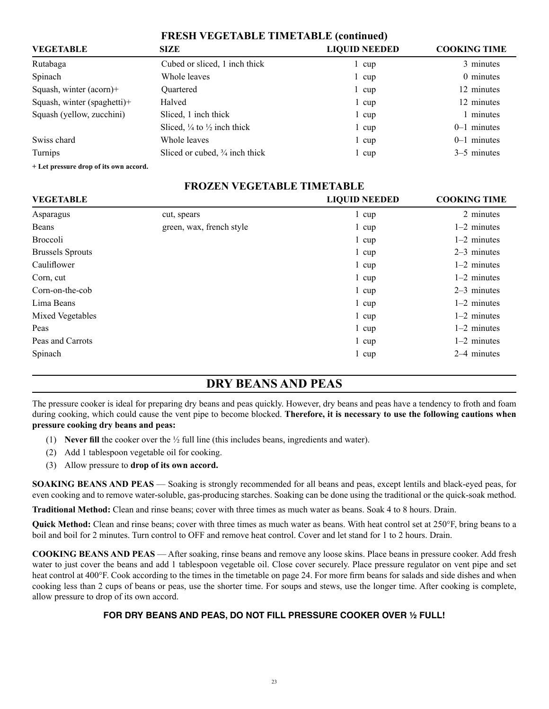|                                        | <b>FRESH VEGETABLE TIMETABLE (continued)</b>      |                     |               |
|----------------------------------------|---------------------------------------------------|---------------------|---------------|
| <b>VEGETABLE</b>                       | <b>LIQUID NEEDED</b>                              | <b>COOKING TIME</b> |               |
| Rutabaga                               | Cubed or sliced, 1 inch thick                     | cup                 | 3 minutes     |
| Spinach                                | Whole leaves                                      | l cup               | 0 minutes     |
| Squash, winter (acorn)+                | <b>Ouartered</b>                                  | cup                 | 12 minutes    |
| Squash, winter (spaghetti)+            | Halved                                            | $1 \text{ cup}$     | 12 minutes    |
| Squash (yellow, zucchini)              | Sliced, 1 inch thick                              | $1 \text{ cup}$     | 1 minutes     |
|                                        | Sliced, $\frac{1}{4}$ to $\frac{1}{2}$ inch thick | $1 \text{ cup}$     | $0-1$ minutes |
| Swiss chard                            | Whole leaves                                      | $1 \text{ cup}$     | $0-1$ minutes |
| Turnips                                | Sliced or cubed, $\frac{3}{4}$ inch thick         | 1 cup               | 3–5 minutes   |
| + Let pressure drop of its own accord. |                                                   |                     |               |

| <b>FROZEN VEGETABLE TIMETABLE</b>                        |                          |                 |               |  |
|----------------------------------------------------------|--------------------------|-----------------|---------------|--|
| <b>COOKING TIME</b><br>VEGETABLE<br><b>LIQUID NEEDED</b> |                          |                 |               |  |
| Asparagus                                                | cut, spears              | 1 cup           | 2 minutes     |  |
| Beans                                                    | green, wax, french style | 1 cup           | $1-2$ minutes |  |
| Broccoli                                                 |                          | 1 cup           | $1-2$ minutes |  |
| <b>Brussels Sprouts</b>                                  |                          | 1 cup           | $2-3$ minutes |  |
| Cauliflower                                              |                          | $1 \text{ cup}$ | $1-2$ minutes |  |
| Corn, cut                                                |                          | 1 cup           | $1-2$ minutes |  |
| Corn-on-the-cob                                          |                          | $1 \text{ cup}$ | $2-3$ minutes |  |
| Lima Beans                                               |                          | $1 \text{ cup}$ | $1-2$ minutes |  |
| Mixed Vegetables                                         |                          | $1 \text{ cup}$ | $1-2$ minutes |  |
| Peas                                                     |                          | 1 cup           | $1-2$ minutes |  |
| Peas and Carrots                                         |                          | 1 cup           | $1-2$ minutes |  |

# **DRY BEANS AND PEAS**

Spinach 2–4 minutes and 2-4 minutes and 2-4 minutes and 2-4 minutes and 2-4 minutes and 2-4 minutes and 2-4 minutes and 2-4 minutes and 2-4 minutes and 2-4 minutes and 2-4 minutes and 2-4 minutes and 2-4 minutes and 2-4 mi

The pressure cooker is ideal for preparing dry beans and peas quickly. However, dry beans and peas have a tendency to froth and foam during cooking, which could cause the vent pipe to become blocked. **Therefore, it is necessary to use the following cautions when pressure cooking dry beans and peas:**

- (1) **Never fill** the cooker over the  $\frac{1}{2}$  full line (this includes beans, ingredients and water).
- (2) Add 1 tablespoon vegetable oil for cooking.
- (3) Allow pressure to **drop of its own accord.**

**SOAKING BEANS AND PEAS** — Soaking is strongly recommended for all beans and peas, except lentils and black-eyed peas, for even cooking and to remove water-soluble, gas-producing starches. Soaking can be done using the traditional or the quick-soak method.

**Traditional Method:** Clean and rinse beans; cover with three times as much water as beans. Soak 4 to 8 hours. Drain.

**Quick Method:** Clean and rinse beans; cover with three times as much water as beans. With heat control set at 250°F, bring beans to a boil and boil for 2 minutes. Turn control to OFF and remove heat control. Cover and let stand for 1 to 2 hours. Drain.

**COOKING BEANS AND PEAS** — After soaking, rinse beans and remove any loose skins. Place beans in pressure cooker. Add fresh water to just cover the beans and add 1 tablespoon vegetable oil. Close cover securely. Place pressure regulator on vent pipe and set heat control at 400°F. Cook according to the times in the timetable on page 24. For more firm beans for salads and side dishes and when cooking less than 2 cups of beans or peas, use the shorter time. For soups and stews, use the longer time. After cooking is complete, allow pressure to drop of its own accord.

# **FOR DRY BEANS AND PEAS, DO NOT FILL PRESSURE COOKER OVER ½ FULL!**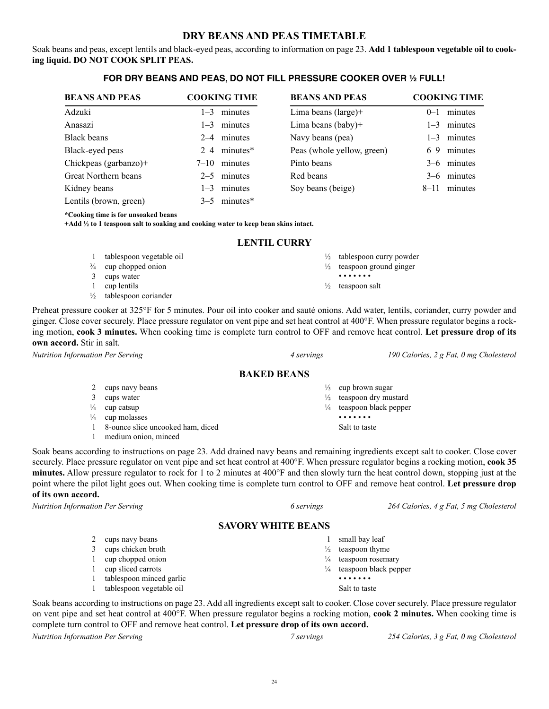# **DRY BEANS AND PEAS TIMETABLE**

Soak beans and peas, except lentils and black-eyed peas, according to information on page 23. **Add 1 tablespoon vegetable oil to cooking liquid. DO NOT COOK SPLIT PEAS.** 

# **FOR DRY BEANS AND PEAS, DO NOT FILL PRESSURE COOKER OVER ½ FULL!**

| <b>BEANS AND PEAS</b>  | <b>COOKING TIME</b> | <b>BEANS AND PEAS</b>      | <b>COOKING TIME</b> |
|------------------------|---------------------|----------------------------|---------------------|
| Adzuki                 | $1-3$ minutes       | Lima beans (large)+        | minutes<br>$0 - 1$  |
| Anasazi                | $1-3$ minutes       | Lima beans (baby)+         | $1-3$ minutes       |
| <b>Black beans</b>     | $2-4$ minutes       | Navy beans (pea)           | minutes<br>$1 - 3$  |
| Black-eyed peas        | $2-4$ minutes*      | Peas (whole yellow, green) | minutes<br>$6 - 9$  |
| Chickpeas (garbanzo)+  | minutes<br>$7 - 10$ | Pinto beans                | 3–6 minutes         |
| Great Northern beans   | $2-5$ minutes       | Red beans                  | 3–6 minutes         |
| Kidney beans           | minutes<br>$1 - 3$  | Soy beans (beige)          | minutes<br>$8 - 11$ |
| Lentils (brown, green) | $3-5$ minutes*      |                            |                     |

**\*Cooking time is for unsoaked beans**

**+Add ½ to 1 teaspoon salt to soaking and cooking water to keep bean skins intact.**

#### **LENTIL CURRY**

| tablespoon vegetable oil           | $\frac{1}{2}$ tablespoon curry powder |
|------------------------------------|---------------------------------------|
| $\frac{3}{4}$ cup chopped onion    | $\frac{1}{2}$ teaspoon ground ginger  |
| cups water                         | .                                     |
| cup lentils                        | $\frac{1}{2}$ teaspoon salt           |
| $\frac{1}{2}$ tablespoon coriander |                                       |

Preheat pressure cooker at 325°F for 5 minutes. Pour oil into cooker and sauté onions. Add water, lentils, coriander, curry powder and ginger. Close cover securely. Place pressure regulator on vent pipe and set heat control at 400°F. When pressure regulator begins a rocking motion, **cook 3 minutes.** When cooking time is complete turn control to OFF and remove heat control. **Let pressure drop of its own accord.** Stir in salt.

*Nutrition Information Per Serving 4 servings 190 Calories, 2 g Fat, 0 mg Cholesterol*

# **BAKED BEANS**

|              | 2 cups navy beans                 | $\frac{1}{3}$ cup brown sugar       |
|--------------|-----------------------------------|-------------------------------------|
| 3            | cups water                        | $\frac{1}{2}$ teaspoon dry mustard  |
|              | $\frac{1}{4}$ cup catsup          | $\frac{1}{4}$ teaspoon black pepper |
|              | $\frac{1}{4}$ cup molasses        | .                                   |
| $\mathbf{1}$ | 8-ounce slice uncooked ham, diced | Salt to taste                       |
|              | medium onion, minced              |                                     |

Soak beans according to instructions on page 23. Add drained navy beans and remaining ingredients except salt to cooker. Close cover securely. Place pressure regulator on vent pipe and set heat control at 400°F. When pressure regulator begins a rocking motion, **cook 35 minutes.** Allow pressure regulator to rock for 1 to 2 minutes at 400°F and then slowly turn the heat control down, stopping just at the point where the pilot light goes out. When cooking time is complete turn control to OFF and remove heat control. **Let pressure drop of its own accord.**

*Nutrition Information Per Serving 6 servings 264 Calories, 4 g Fat, 5 mg Cholesterol*

#### **SAVORY WHITE BEANS**

| cups navy beans          |               | small bay leaf        |
|--------------------------|---------------|-----------------------|
| cups chicken broth       | $\frac{1}{2}$ | teaspoon thyme        |
| cup chopped onion        | $\frac{1}{4}$ | teaspoon rosemary     |
| cup sliced carrots       | $\frac{1}{4}$ | teaspoon black pepper |
| tablespoon minced garlic |               | .                     |
| tablespoon vegetable oil |               | Salt to taste         |

Soak beans according to instructions on page 23. Add all ingredients except salt to cooker. Close cover securely. Place pressure regulator on vent pipe and set heat control at 400°F. When pressure regulator begins a rocking motion, **cook 2 minutes.** When cooking time is complete turn control to OFF and remove heat control. **Let pressure drop of its own accord.**

*Nutrition Information Per Serving 7 servings 254 Calories, 3 g Fat, 0 mg Cholesterol*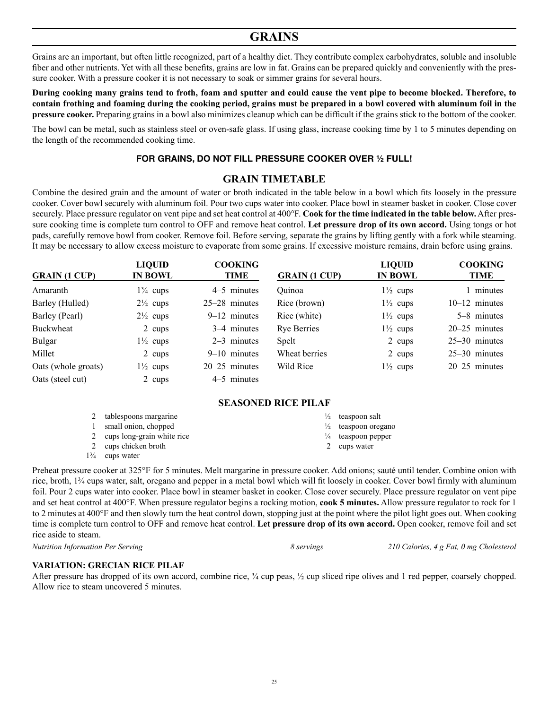# **GRAINS**

Grains are an important, but often little recognized, part of a healthy diet. They contribute complex carbohydrates, soluble and insoluble fiber and other nutrients. Yet with all these benefits, grains are low in fat. Grains can be prepared quickly and conveniently with the pressure cooker. With a pressure cooker it is not necessary to soak or simmer grains for several hours.

**During cooking many grains tend to froth, foam and sputter and could cause the vent pipe to become blocked. Therefore, to contain frothing and foaming during the cooking period, grains must be prepared in a bowl covered with aluminum foil in the pressure cooker.** Preparing grains in a bowl also minimizes cleanup which can be difficult if the grains stick to the bottom of the cooker.

The bowl can be metal, such as stainless steel or oven-safe glass. If using glass, increase cooking time by 1 to 5 minutes depending on the length of the recommended cooking time.

#### **FOR GRAINS, DO NOT FILL PRESSURE COOKER OVER ½ FULL!**

# **GRAIN TIMETABLE**

Combine the desired grain and the amount of water or broth indicated in the table below in a bowl which fits loosely in the pressure cooker. Cover bowl securely with aluminum foil. Pour two cups water into cooker. Place bowl in steamer basket in cooker. Close cover securely. Place pressure regulator on vent pipe and set heat control at 400°F. **Cook for the time indicated in the table below.** After pressure cooking time is complete turn control to OFF and remove heat control. **Let pressure drop of its own accord.** Using tongs or hot pads, carefully remove bowl from cooker. Remove foil. Before serving, separate the grains by lifting gently with a fork while steaming. It may be necessary to allow excess moisture to evaporate from some grains. If excessive moisture remains, drain before using grains.

| <b>GRAIN (1 CUP)</b> | <b>LIQUID</b><br><b>IN BOWL</b> | <b>COOKING</b><br>TIME | <b>GRAIN (1 CUP)</b> | <b>LIQUID</b><br><b>IN BOWL</b> | <b>COOKING</b><br>TIME |
|----------------------|---------------------------------|------------------------|----------------------|---------------------------------|------------------------|
| Amaranth             | $1\frac{3}{4}$ cups             | 4–5 minutes            | Quinoa               | $1\frac{1}{2}$ cups             | 1 minutes              |
| Barley (Hulled)      | $2\frac{1}{2}$ cups             | $25-28$ minutes        | Rice (brown)         | $1\frac{1}{2}$ cups             | $10-12$ minutes        |
| Barley (Pearl)       | $2\frac{1}{2}$ cups             | $9-12$ minutes         | Rice (white)         | $1\frac{1}{2}$ cups             | 5–8 minutes            |
| Buckwheat            | 2 cups                          | 3–4 minutes            | <b>Rye Berries</b>   | $1\frac{1}{2}$ cups             | $20-25$ minutes        |
| <b>Bulgar</b>        | $1\frac{1}{2}$ cups             | $2-3$ minutes          | Spelt                | 2 cups                          | $25-30$ minutes        |
| Millet               | 2 cups                          | $9-10$ minutes         | Wheat berries        | 2 cups                          | $25-30$ minutes        |
| Oats (whole groats)  | $1\frac{1}{2}$ cups             | $20-25$ minutes        | Wild Rice            | $1\frac{1}{2}$ cups             | $20-25$ minutes        |
| Oats (steel cut)     | 2 cups                          | 4–5 minutes            |                      |                                 |                        |

#### **SEASONED RICE PILAF**

|                | tablespoons margarine        | $\frac{1}{2}$ teaspoon salt    |
|----------------|------------------------------|--------------------------------|
|                | small onion, chopped         | $\frac{1}{2}$ teaspoon oregano |
|                | 2 cups long-grain white rice | $\frac{1}{4}$ teaspoon pepper  |
|                | 2 cups chicken broth         | 2 cups water                   |
| $1\frac{3}{4}$ | cups water                   |                                |

Preheat pressure cooker at 325°F for 5 minutes. Melt margarine in pressure cooker. Add onions; sauté until tender. Combine onion with rice, broth, 1¾ cups water, salt, oregano and pepper in a metal bowl which will fit loosely in cooker. Cover bowl firmly with aluminum foil. Pour 2 cups water into cooker. Place bowl in steamer basket in cooker. Close cover securely. Place pressure regulator on vent pipe and set heat control at 400°F. When pressure regulator begins a rocking motion, **cook 5 minutes.** Allow pressure regulator to rock for 1 to 2 minutes at 400°F and then slowly turn the heat control down, stopping just at the point where the pilot light goes out. When cooking time is complete turn control to OFF and remove heat control. **Let pressure drop of its own accord.** Open cooker, remove foil and set rice aside to steam.

*Nutrition Information Per Serving 8 servings 210 Calories, 4 g Fat, 0 mg Cholesterol*

#### **VARIATION: GRECIAN RICE PILAF**

After pressure has dropped of its own accord, combine rice,  $\frac{3}{4}$  cup peas,  $\frac{1}{2}$  cup sliced ripe olives and 1 red pepper, coarsely chopped. Allow rice to steam uncovered 5 minutes.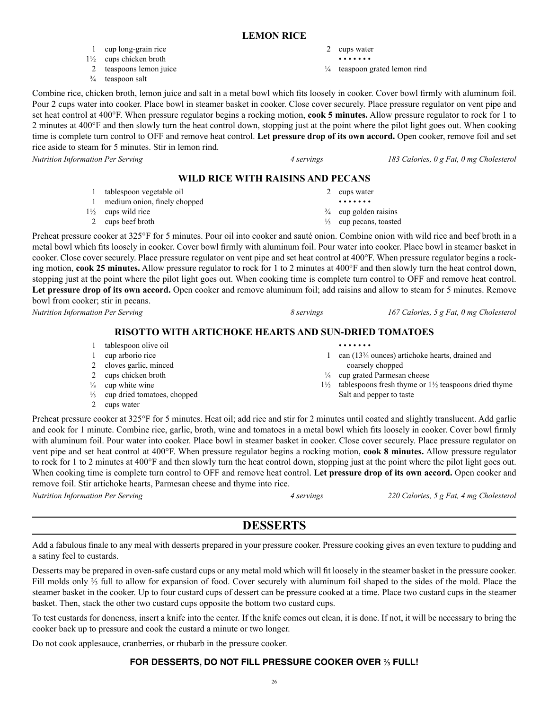### **LEMON RICE**

- 1 cup long-grain rice
- 1½ cups chicken broth
- 2 teaspoons lemon juice
- $\frac{3}{4}$  teaspoon salt
- 2 cups water
- • • • •

• • • • • • •

coarsely chopped ¼ cup grated Parmesan cheese

Salt and pepper to taste

¼ teaspoon grated lemon rind

Combine rice, chicken broth, lemon juice and salt in a metal bowl which fits loosely in cooker. Cover bowl firmly with aluminum foil. Pour 2 cups water into cooker. Place bowl in steamer basket in cooker. Close cover securely. Place pressure regulator on vent pipe and set heat control at 400°F. When pressure regulator begins a rocking motion, **cook 5 minutes.** Allow pressure regulator to rock for 1 to 2 minutes at 400°F and then slowly turn the heat control down, stopping just at the point where the pilot light goes out. When cooking time is complete turn control to OFF and remove heat control. **Let pressure drop of its own accord.** Open cooker, remove foil and set rice aside to steam for 5 minutes. Stir in lemon rind.

*Nutrition Information Per Serving 4 servings 183 Calories, 0 g Fat, 0 mg Cholesterol*

## **WILD RICE WITH RAISINS AND PECANS**

1 tablespoon vegetable oil 1 medium onion, finely chopped 1½ cups wild rice 2 cups beef broth 2 cups water • • • • • • •  $\frac{3}{4}$  cup golden raisins ⅓ cup pecans, toasted

Preheat pressure cooker at 325°F for 5 minutes. Pour oil into cooker and sauté onion. Combine onion with wild rice and beef broth in a metal bowl which fits loosely in cooker. Cover bowl firmly with aluminum foil. Pour water into cooker. Place bowl in steamer basket in cooker. Close cover securely. Place pressure regulator on vent pipe and set heat control at 400°F. When pressure regulator begins a rocking motion, **cook 25 minutes.** Allow pressure regulator to rock for 1 to 2 minutes at 400°F and then slowly turn the heat control down, stopping just at the point where the pilot light goes out. When cooking time is complete turn control to OFF and remove heat control. **Let pressure drop of its own accord.** Open cooker and remove aluminum foil; add raisins and allow to steam for 5 minutes. Remove bowl from cooker; stir in pecans.

**RISOTTO WITH ARTICHOKE HEARTS AND SUN-DRIED TOMATOES**

- 1 tablespoon olive oil
- 1 cup arborio rice
- 2 cloves garlic, minced
- 2 cups chicken broth
- $\frac{1}{3}$  cup white wine
- ⅓ cup dried tomatoes, chopped
- 2 cups water

Preheat pressure cooker at 325°F for 5 minutes. Heat oil; add rice and stir for 2 minutes until coated and slightly translucent. Add garlic and cook for 1 minute. Combine rice, garlic, broth, wine and tomatoes in a metal bowl which fits loosely in cooker. Cover bowl firmly with aluminum foil. Pour water into cooker. Place bowl in steamer basket in cooker. Close cover securely. Place pressure regulator on vent pipe and set heat control at 400°F. When pressure regulator begins a rocking motion, **cook 8 minutes.** Allow pressure regulator to rock for 1 to 2 minutes at 400°F and then slowly turn the heat control down, stopping just at the point where the pilot light goes out. When cooking time is complete turn control to OFF and remove heat control. **Let pressure drop of its own accord.** Open cooker and remove foil. Stir artichoke hearts, Parmesan cheese and thyme into rice.

*Nutrition Information Per Serving 4 servings 220 Calories, 5 g Fat, 4 mg Cholesterol*

# **DESSERTS**

Add a fabulous finale to any meal with desserts prepared in your pressure cooker. Pressure cooking gives an even texture to pudding and a satiny feel to custards.

Desserts may be prepared in oven-safe custard cups or any metal mold which will fit loosely in the steamer basket in the pressure cooker. Fill molds only ⅔ full to allow for expansion of food. Cover securely with aluminum foil shaped to the sides of the mold. Place the steamer basket in the cooker. Up to four custard cups of dessert can be pressure cooked at a time. Place two custard cups in the steamer basket. Then, stack the other two custard cups opposite the bottom two custard cups.

To test custards for doneness, insert a knife into the center. If the knife comes out clean, it is done. If not, it will be necessary to bring the cooker back up to pressure and cook the custard a minute or two longer.

Do not cook applesauce, cranberries, or rhubarb in the pressure cooker.

# **FOR DESSERTS, DO NOT FILL PRESSURE COOKER OVER ⅔ FULL!**

*Nutrition Information Per Serving 8 servings 167 Calories, 5 g Fat, 0 mg Cholesterol*

1 can (13¾ ounces) artichoke hearts, drained and

 $1\frac{1}{2}$  tablespoons fresh thyme or  $1\frac{1}{2}$  teaspoons dried thyme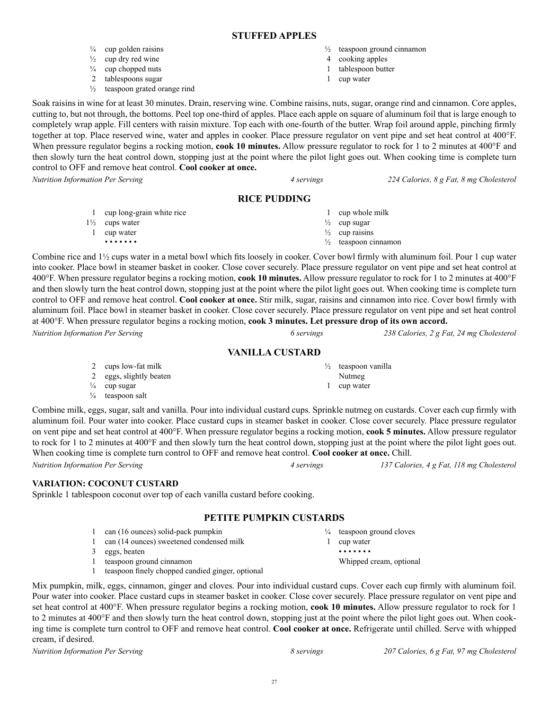27

# **STUFFED APPLES**

- $\frac{1}{4}$  cup golden raisins
- $\frac{1}{2}$  cup dry red wine
- $\frac{1}{4}$  cup chopped nuts
- 2 tablespoons sugar
- ½ teaspoon grated orange rind
- $\frac{1}{2}$  teaspoon ground cinnamon
- 4 cooking apples 1 tablespoon butter
- 1 cup water

Soak raisins in wine for at least 30 minutes. Drain, reserving wine. Combine raisins, nuts, sugar, orange rind and cinnamon. Core apples, cutting to, but not through, the bottoms. Peel top one-third of apples. Place each apple on square of aluminum foil that is large enough to completely wrap apple. Fill centers with raisin mixture. Top each with one-fourth of the butter. Wrap foil around apple, pinching firmly together at top. Place reserved wine, water and apples in cooker. Place pressure regulator on vent pipe and set heat control at 400°F. When pressure regulator begins a rocking motion, **cook 10 minutes.** Allow pressure regulator to rock for 1 to 2 minutes at 400<sup>o</sup>F and then slowly turn the heat control down, stopping just at the point where the pilot light goes out. When cooking time is complete turn control to OFF and remove heat control. **Cool cooker at once.**

*Nutrition Information Per Serving 4 servings 224 Calories, 8 g Fat, 8 mg Cholesterol*

# **RICE PUDDING**

| cup long-grain white rice | 1 cup whole milk                |
|---------------------------|---------------------------------|
| $1\frac{1}{2}$ cups water | $\frac{1}{2}$ cup sugar         |
| cup water                 | $\frac{1}{2}$ cup raisins       |
| .                         | $\frac{1}{2}$ teaspoon cinnamon |

Combine rice and 1½ cups water in a metal bowl which fits loosely in cooker. Cover bowl firmly with aluminum foil. Pour 1 cup water into cooker. Place bowl in steamer basket in cooker. Close cover securely. Place pressure regulator on vent pipe and set heat control at 400°F. When pressure regulator begins a rocking motion, **cook 10 minutes.** Allow pressure regulator to rock for 1 to 2 minutes at 400°F and then slowly turn the heat control down, stopping just at the point where the pilot light goes out. When cooking time is complete turn control to OFF and remove heat control. **Cool cooker at once.** Stir milk, sugar, raisins and cinnamon into rice. Cover bowl firmly with aluminum foil. Place bowl in steamer basket in cooker. Close cover securely. Place pressure regulator on vent pipe and set heat control at 400°F. When pressure regulator begins a rocking motion, **cook 3 minutes. Let pressure drop of its own accord.** *Nutrition Information Per Serving 6 servings 238 Calories, 2 g Fat, 24 mg Cholesterol*

# **VANILLA CUSTARD**

| 2 cups low-fat milk         |
|-----------------------------|
| 2 eggs, slightly beaten     |
| $\frac{1}{4}$ cup sugar     |
| $\frac{1}{4}$ teaspoon salt |

Combine milk, eggs, sugar, salt and vanilla. Pour into individual custard cups. Sprinkle nutmeg on custards. Cover each cup firmly with aluminum foil. Pour water into cooker. Place custard cups in steamer basket in cooker. Close cover securely. Place pressure regulator on vent pipe and set heat control at 400°F. When pressure regulator begins a rocking motion, **cook 5 minutes.** Allow pressure regulator to rock for 1 to 2 minutes at 400°F and then slowly turn the heat control down, stopping just at the point where the pilot light goes out. When cooking time is complete turn control to OFF and remove heat control. **Cool cooker at once.** Chill.

# **VARIATION: COCONUT CUSTARD**

Sprinkle 1 tablespoon coconut over top of each vanilla custard before cooking.

# **PETITE PUMPKIN CUSTARDS**

- 1 can (16 ounces) solid-pack pumpkin
- 1 can (14 ounces) sweetened condensed milk
- 3 eggs, beaten
- 1 teaspoon ground cinnamon
- 1 teaspoon finely chopped candied ginger, optional

Mix pumpkin, milk, eggs, cinnamon, ginger and cloves. Pour into individual custard cups. Cover each cup firmly with aluminum foil. Pour water into cooker. Place custard cups in steamer basket in cooker. Close cover securely. Place pressure regulator on vent pipe and set heat control at 400°F. When pressure regulator begins a rocking motion, **cook 10 minutes.** Allow pressure regulator to rock for 1 to 2 minutes at 400°F and then slowly turn the heat control down, stopping just at the point where the pilot light goes out. When cooking time is complete turn control to OFF and remove heat control. **Cool cooker at once.** Refrigerate until chilled. Serve with whipped cream, if desired.

*Nutrition Information Per Serving 8 servings 207 Calories, 6 g Fat, 97 mg Cholesterol*

*Nutrition Information Per Serving 4 servings 137 Calories, 4 g Fat, 118 mg Cholesterol*

¼ teaspoon ground cloves

1 cup water • • • • • • •

Whipped cream, optional

½ teaspoon vanilla

Nutmeg 1 cup water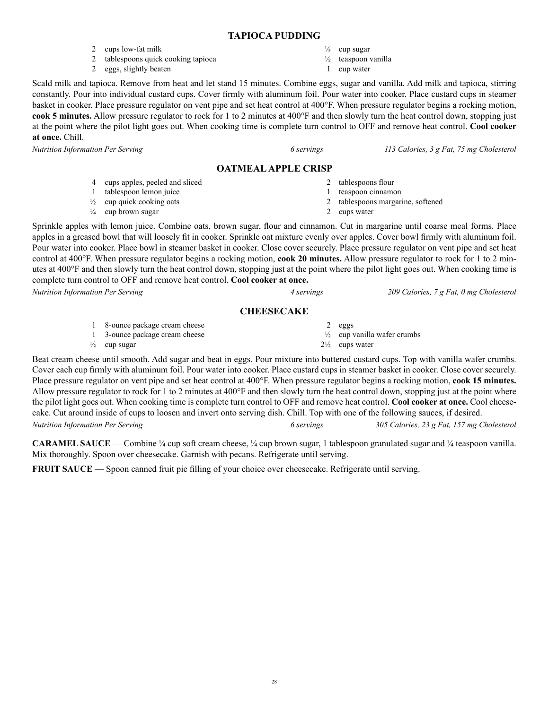#### **TAPIOCA PUDDING**

- 2 cups low-fat milk
- 2 tablespoons quick cooking tapioca
- 2 eggs, slightly beaten
- $\frac{1}{3}$  cup sugar
- ½ teaspoon vanilla
- 1 cup water

Scald milk and tapioca. Remove from heat and let stand 15 minutes. Combine eggs, sugar and vanilla. Add milk and tapioca, stirring constantly. Pour into individual custard cups. Cover firmly with aluminum foil. Pour water into cooker. Place custard cups in steamer basket in cooker. Place pressure regulator on vent pipe and set heat control at 400°F. When pressure regulator begins a rocking motion, **cook 5 minutes.** Allow pressure regulator to rock for 1 to 2 minutes at 400°F and then slowly turn the heat control down, stopping just at the point where the pilot light goes out. When cooking time is complete turn control to OFF and remove heat control. **Cool cooker at once.** Chill.

*Nutrition Information Per Serving 6 servings 113 Calories, 3 g Fat, 75 mg Cholesterol*

# **OATMEAL APPLE CRISP**

- 
- 4 cups apples, peeled and sliced 1 tablespoon lemon juice  $\frac{1}{2}$  cup quick cooking oats  $\frac{1}{4}$  cup brown sugar 2 tablespoons flour 1 teaspoon cinnamon 2 tablespoons margarine, softened 2 cups water

Sprinkle apples with lemon juice. Combine oats, brown sugar, flour and cinnamon. Cut in margarine until coarse meal forms. Place apples in a greased bowl that will loosely fit in cooker. Sprinkle oat mixture evenly over apples. Cover bowl firmly with aluminum foil. Pour water into cooker. Place bowl in steamer basket in cooker. Close cover securely. Place pressure regulator on vent pipe and set heat control at 400°F. When pressure regulator begins a rocking motion, **cook 20 minutes.** Allow pressure regulator to rock for 1 to 2 minutes at 400°F and then slowly turn the heat control down, stopping just at the point where the pilot light goes out. When cooking time is complete turn control to OFF and remove heat control. **Cool cooker at once.**

#### **CHEESECAKE**

1 8-ounce package cream cheese 1 3-ounce package cream cheese  $\frac{1}{2}$  cup sugar 2 eggs  $\frac{1}{2}$  cup vanilla wafer crumbs  $2\frac{1}{2}$  cups water

Beat cream cheese until smooth. Add sugar and beat in eggs. Pour mixture into buttered custard cups. Top with vanilla wafer crumbs. Cover each cup firmly with aluminum foil. Pour water into cooker. Place custard cups in steamer basket in cooker. Close cover securely. Place pressure regulator on vent pipe and set heat control at 400°F. When pressure regulator begins a rocking motion, **cook 15 minutes.**  Allow pressure regulator to rock for 1 to 2 minutes at 400°F and then slowly turn the heat control down, stopping just at the point where the pilot light goes out. When cooking time is complete turn control to OFF and remove heat control. **Cool cooker at once.** Cool cheesecake. Cut around inside of cups to loosen and invert onto serving dish. Chill. Top with one of the following sauces, if desired. *Nutrition Information Per Serving 6 servings 305 Calories, 23 g Fat, 157 mg Cholesterol*

**CARAMEL SAUCE** — Combine ¼ cup soft cream cheese, ¼ cup brown sugar, 1 tablespoon granulated sugar and ¼ teaspoon vanilla. Mix thoroughly. Spoon over cheesecake. Garnish with pecans. Refrigerate until serving.

**FRUIT SAUCE** — Spoon canned fruit pie filling of your choice over cheesecake. Refrigerate until serving.

*Nutrition Information Per Serving 4 servings 209 Calories, 7 g Fat, 0 mg Cholesterol*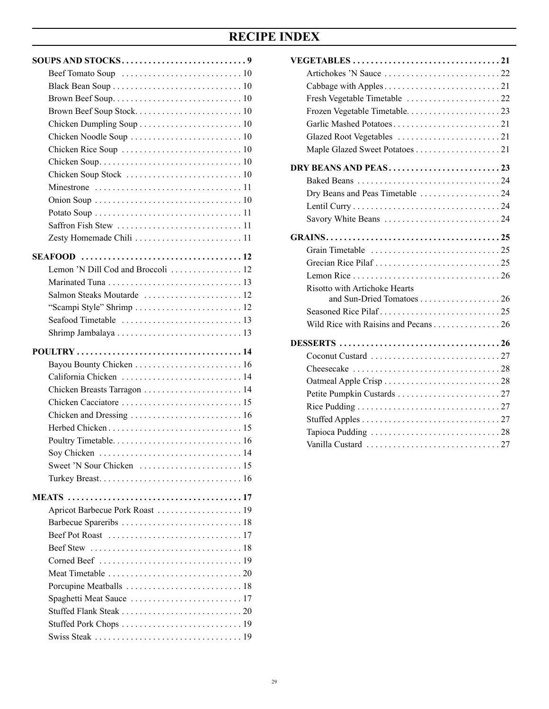# **RECIPE INDEX**

| Zesty Homemade Chili  11                                                                 |
|------------------------------------------------------------------------------------------|
|                                                                                          |
| Lemon 'N Dill Cod and Broccoli  12                                                       |
|                                                                                          |
|                                                                                          |
|                                                                                          |
| "Scampi Style" Shrimp  12                                                                |
|                                                                                          |
|                                                                                          |
|                                                                                          |
|                                                                                          |
| California Chicken  14                                                                   |
|                                                                                          |
|                                                                                          |
|                                                                                          |
|                                                                                          |
|                                                                                          |
| Soy Chicken $\dots \dots \dots \dots \dots \dots \dots \dots \dots \dots \dots \dots 14$ |
|                                                                                          |
|                                                                                          |
|                                                                                          |
|                                                                                          |
|                                                                                          |
|                                                                                          |
|                                                                                          |
|                                                                                          |
|                                                                                          |
|                                                                                          |
|                                                                                          |
|                                                                                          |
|                                                                                          |
|                                                                                          |
|                                                                                          |

| Dry Beans and Peas Timetable 24                                                |  |
|--------------------------------------------------------------------------------|--|
|                                                                                |  |
|                                                                                |  |
|                                                                                |  |
|                                                                                |  |
|                                                                                |  |
|                                                                                |  |
| <b>Risotto with Artichoke Hearts</b>                                           |  |
|                                                                                |  |
|                                                                                |  |
| Wild Rice with Raisins and Pecans 26                                           |  |
|                                                                                |  |
|                                                                                |  |
| Cheesecake $\ldots \ldots \ldots \ldots \ldots \ldots \ldots \ldots \ldots 28$ |  |
|                                                                                |  |
|                                                                                |  |
|                                                                                |  |
|                                                                                |  |
|                                                                                |  |
|                                                                                |  |